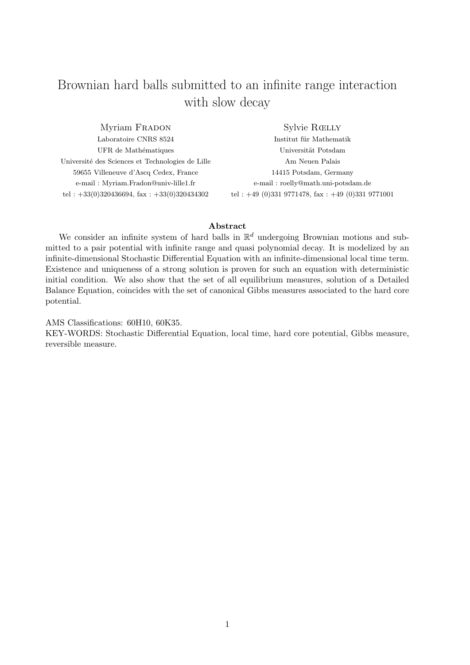# Brownian hard balls submitted to an infinite range interaction with slow decay

Myriam FRADON Laboratoire CNRS 8524 UFR de Mathématiques Université des Sciences et Technologies de Lille 59655 Villeneuve d'Ascq Cedex, France e-mail : Myriam.Fradon@univ-lille1.fr tel :  $+33(0)320436694$ , fax :  $+33(0)320434302$ 

Sylvie Rœlly

Institut für Mathematik Universität Potsdam Am Neuen Palais 14415 Potsdam, Germany e-mail : roelly@math.uni-potsdam.de tel :  $+49$  (0)331 9771478, fax :  $+49$  (0)331 9771001

## Abstract

We consider an infinite system of hard balls in  $\mathbb{R}^d$  undergoing Brownian motions and submitted to a pair potential with infinite range and quasi polynomial decay. It is modelized by an infinite-dimensional Stochastic Differential Equation with an infinite-dimensional local time term. Existence and uniqueness of a strong solution is proven for such an equation with deterministic initial condition. We also show that the set of all equilibrium measures, solution of a Detailed Balance Equation, coincides with the set of canonical Gibbs measures associated to the hard core potential.

AMS Classifications: 60H10, 60K35.

KEY-WORDS: Stochastic Differential Equation, local time, hard core potential, Gibbs measure, reversible measure.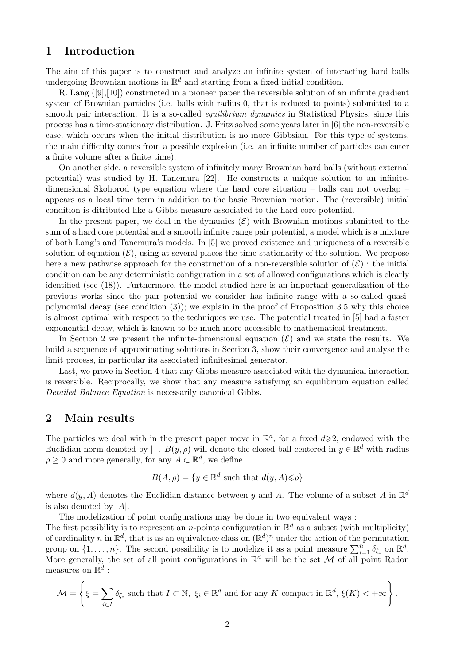## 1 Introduction

The aim of this paper is to construct and analyze an infinite system of interacting hard balls undergoing Brownian motions in  $\mathbb{R}^d$  and starting from a fixed initial condition.

R. Lang ([9], [10]) constructed in a pioneer paper the reversible solution of an infinite gradient system of Brownian particles (i.e. balls with radius 0, that is reduced to points) submitted to a smooth pair interaction. It is a so-called *equilibrium dynamics* in Statistical Physics, since this process has a time-stationary distribution. J. Fritz solved some years later in [6] the non-reversible case, which occurs when the initial distribution is no more Gibbsian. For this type of systems, the main difficulty comes from a possible explosion (i.e. an infinite number of particles can enter a finite volume after a finite time).

On another side, a reversible system of infinitely many Brownian hard balls (without external potential) was studied by H. Tanemura [22]. He constructs a unique solution to an infinitedimensional Skohorod type equation where the hard core situation – balls can not overlap – appears as a local time term in addition to the basic Brownian motion. The (reversible) initial condition is ditributed like a Gibbs measure associated to the hard core potential.

In the present paper, we deal in the dynamics  $(\mathcal{E})$  with Brownian motions submitted to the sum of a hard core potential and a smooth infinite range pair potential, a model which is a mixture of both Lang's and Tanemura's models. In [5] we proved existence and uniqueness of a reversible solution of equation  $(\mathcal{E})$ , using at several places the time-stationarity of the solution. We propose here a new pathwise approach for the construction of a non-reversible solution of  $(\mathcal{E})$ : the initial condition can be any deterministic configuration in a set of allowed configurations which is clearly identified (see (18)). Furthermore, the model studied here is an important generalization of the previous works since the pair potential we consider has infinite range with a so-called quasipolynomial decay (see condition (3)); we explain in the proof of Proposition 3.5 why this choice is almost optimal with respect to the techniques we use. The potential treated in [5] had a faster exponential decay, which is known to be much more accessible to mathematical treatment.

In Section 2 we present the infinite-dimensional equation  $(\mathcal{E})$  and we state the results. We build a sequence of approximating solutions in Section 3, show their convergence and analyse the limit process, in particular its associated infinitesimal generator.

Last, we prove in Section 4 that any Gibbs measure associated with the dynamical interaction is reversible. Reciprocally, we show that any measure satisfying an equilibrium equation called Detailed Balance Equation is necessarily canonical Gibbs.

## 2 Main results

The particles we deal with in the present paper move in  $\mathbb{R}^d$ , for a fixed  $d\geqslant 2$ , endowed with the Euclidian norm denoted by | |.  $B(y, \rho)$  will denote the closed ball centered in  $y \in \mathbb{R}^d$  with radius  $\rho \geq 0$  and more generally, for any  $A \subset \mathbb{R}^d$ , we define

$$
B(A, \rho) = \{ y \in \mathbb{R}^d \text{ such that } d(y, A) \leq \rho \}
$$

where  $d(y, A)$  denotes the Euclidian distance between y and A. The volume of a subset A in  $\mathbb{R}^d$ is also denoted by  $|A|$ .

The modelization of point configurations may be done in two equivalent ways :

The first possibility is to represent an *n*-points configuration in  $\mathbb{R}^d$  as a subset (with multiplicity) of cardinality n in  $\mathbb{R}^d$ , that is as an equivalence class on  $(\mathbb{R}^d)^n$  under the action of the permutation group on  $\{1,\ldots,n\}$ . The second possibility is to modelize it as a point measure  $\sum_{i=1}^{n} \delta_{\xi_i}$  on  $\mathbb{R}^d$ . More generally, the set of all point configurations in  $\mathbb{R}^d$  will be the set M of all point Radon measures on  $\mathbb{R}^d$  :

$$
\mathcal{M} = \left\{ \xi = \sum_{i \in I} \delta_{\xi_i} \text{ such that } I \subset \mathbb{N}, \ \xi_i \in \mathbb{R}^d \text{ and for any } K \text{ compact in } \mathbb{R}^d, \ \xi(K) < +\infty \right\}.
$$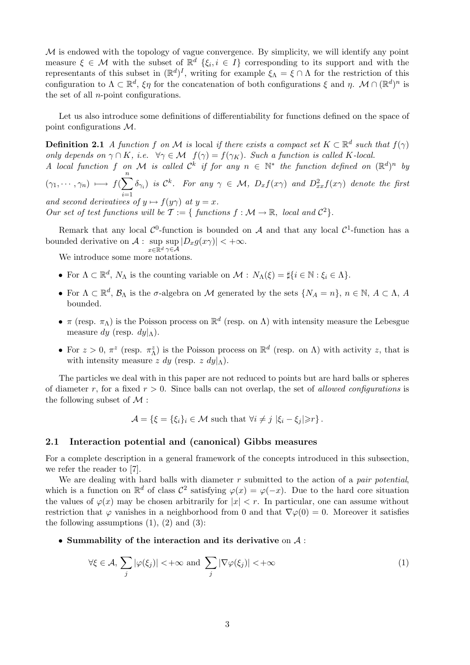$M$  is endowed with the topology of vague convergence. By simplicity, we will identify any point measure  $\xi \in \mathcal{M}$  with the subset of  $\mathbb{R}^d$   $\{\xi_i, i \in I\}$  corresponding to its support and with the representants of this subset in  $(\mathbb{R}^d)^I$ , writing for example  $\xi_{\Lambda} = \xi \cap \Lambda$  for the restriction of this configuration to  $\Lambda \subset \mathbb{R}^d$ ,  $\xi \eta$  for the concatenation of both configurations  $\xi$  and  $\eta$ .  $\mathcal{M} \cap (\mathbb{R}^d)^n$  is the set of all n-point configurations.

Let us also introduce some definitions of differentiability for functions defined on the space of point configurations M.

**Definition 2.1** A function f on M is local if there exists a compact set  $K \subset \mathbb{R}^d$  such that  $f(\gamma)$ only depends on  $\gamma \cap K$ , i.e.  $\forall \gamma \in \mathcal{M}$   $f(\gamma) = f(\gamma_K)$ . Such a function is called K-local. A local function f on M is called  $\mathcal{C}^k$  if for any  $n \in \mathbb{N}^*$  the function defined on  $(\mathbb{R}^d)^n$  by

 $(\gamma_1, \cdots, \gamma_n) \longmapsto f(\sum^n)$  $i=1$  $\delta_{\gamma_i}$  is  $\mathcal{C}^k$ . For any  $\gamma \in \mathcal{M}$ ,  $D_x f(x\gamma)$  and  $D^2_{xx} f(x\gamma)$  denote the first and second derivatives of  $y \mapsto f(y\gamma)$  at  $y = x$ .

Our set of test functions will be  $\mathcal{T} := \{$  functions  $f : \mathcal{M} \to \mathbb{R},$  local and  $\mathcal{C}^2 \}.$ 

Remark that any local  $\mathcal{C}^0$ -function is bounded on A and that any local  $\mathcal{C}^1$ -function has a bounded derivative on  $\mathcal{A}$ : sup sup  $|D_x g(x\gamma)| < +\infty$ .  $x \in \mathbb{R}^d$   $\gamma \in \mathcal{A}$ 

We introduce some more notations.

- For  $\Lambda \subset \mathbb{R}^d$ ,  $N_{\Lambda}$  is the counting variable on  $\mathcal{M}$  :  $N_{\Lambda}(\xi) = \sharp\{i \in \mathbb{N} : \xi_i \in \Lambda\}.$
- For  $\Lambda \subset \mathbb{R}^d$ ,  $\mathcal{B}_\Lambda$  is the  $\sigma$ -algebra on M generated by the sets  $\{N_A = n\}$ ,  $n \in \mathbb{N}$ ,  $A \subset \Lambda$ , A bounded.
- $\pi$  (resp.  $\pi_{\Lambda}$ ) is the Poisson process on  $\mathbb{R}^d$  (resp. on  $\Lambda$ ) with intensity measure the Lebesgue measure dy (resp.  $dy|_{\Lambda}$ ).
- For  $z > 0$ ,  $\pi^z$  (resp.  $\pi^z$ ) is the Poisson process on  $\mathbb{R}^d$  (resp. on  $\Lambda$ ) with activity z, that is with intensity measure  $z \, dy$  (resp.  $z \, dy|_{\Lambda}$ ).

The particles we deal with in this paper are not reduced to points but are hard balls or spheres of diameter r, for a fixed  $r > 0$ . Since balls can not overlap, the set of *allowed configurations* is the following subset of  $\mathcal M$ :

 $\mathcal{A} = \{\xi = \{\xi_i\}_i \in \mathcal{M} \text{ such that } \forall i \neq j \mid \xi_i - \xi_j \geq r\}.$ 

## 2.1 Interaction potential and (canonical) Gibbs measures

For a complete description in a general framework of the concepts introduced in this subsection, we refer the reader to [7].

We are dealing with hard balls with diameter  $r$  submitted to the action of a *pair potential*, which is a function on  $\mathbb{R}^d$  of class  $\mathcal{C}^2$  satisfying  $\varphi(x) = \varphi(-x)$ . Due to the hard core situation the values of  $\varphi(x)$  may be chosen arbitrarily for  $|x| < r$ . In particular, one can assume without restriction that  $\varphi$  vanishes in a neighborhood from 0 and that  $\nabla \varphi(0) = 0$ . Moreover it satisfies the following assumptions  $(1)$ ,  $(2)$  and  $(3)$ :

• Summability of the interaction and its derivative on  $A$ :

$$
\forall \xi \in \mathcal{A}, \sum_{j} |\varphi(\xi_j)| < +\infty \text{ and } \sum_{j} |\nabla \varphi(\xi_j)| < +\infty
$$
 (1)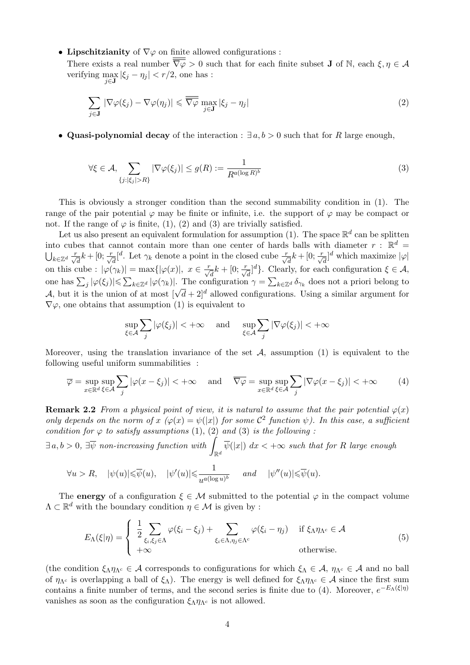• Lipschitzianity of  $\nabla\varphi$  on finite allowed configurations :

There exists a real number  $\overline{\overline{\nabla}\varphi} > 0$  such that for each finite subset **J** of N, each  $\xi, \eta \in \mathcal{A}$ verifying  $\max_{j\in\mathbf{J}} |\xi_j - \eta_j| < r/2$ , one has :

$$
\sum_{j \in \mathbf{J}} |\nabla \varphi(\xi_j) - \nabla \varphi(\eta_j)| \leq \overline{\overline{\nabla} \varphi} \max_{j \in \mathbf{J}} |\xi_j - \eta_j| \tag{2}
$$

• Quasi-polynomial decay of the interaction :  $\exists a, b > 0$  such that for R large enough,

$$
\forall \xi \in \mathcal{A}, \sum_{\{j : |\xi_j| > R\}} |\nabla \varphi(\xi_j)| \le g(R) := \frac{1}{R^{a(\log R)^b}}
$$
(3)

This is obviously a stronger condition than the second summability condition in (1). The range of the pair potential  $\varphi$  may be finite or infinite, i.e. the support of  $\varphi$  may be compact or not. If the range of  $\varphi$  is finite, (1), (2) and (3) are trivially satisfied.

Let us also present an equivalent formulation for assumption (1). The space  $\mathbb{R}^d$  can be splitten into cubes that cannot contain more than one center of hards balls with diameter  $r : \mathbb{R}^d =$  $\bigcup_{k\in\mathbb{Z}^d} \frac{r}{\sqrt{d}}k + [0;\frac{r}{\sqrt{d}}]^{d}$ . Let  $\gamma_k$  denote a point in the closed cube  $\frac{r}{\sqrt{d}}k + [0;\frac{r}{\sqrt{d}}]^{d}$  which maximize  $|\varphi|$ on this cube :  $|\varphi(\gamma_k)| = \max\{|\varphi(x)|, x \in \frac{r}{\sqrt{d}}k + [0; \frac{r}{\sqrt{d}}]^d\}$ . Clearly, for each configuration  $\xi \in \mathcal{A}$ , one has  $\sum_j |\varphi(\xi_j)| \leq \sum_{k \in \mathbb{Z}^d} |\varphi(\gamma_k)|$ . The configuration  $\gamma = \sum_{k \in \mathbb{Z}^d} \delta_{\gamma_k}$  does not a priori belong to A, but it is the union of at most  $[\sqrt{d}+2]^d$  allowed configurations. Using a similar argument for  $\mathcal{A}$ , but it is the union of at most  $[\sqrt{d}+2]^d$  allowed configurations. Using a similar argument for  $\nabla \varphi$ , one obtains that assumption (1) is equivalent to

$$
\sup_{\xi \in \mathcal{A}} \sum_{j} |\varphi(\xi_j)| < +\infty \quad \text{ and } \quad \sup_{\xi \in \mathcal{A}} \sum_{j} |\nabla \varphi(\xi_j)| < +\infty
$$

Moreover, using the translation invariance of the set  $A$ , assumption (1) is equivalent to the following useful uniform summabilities :

$$
\overline{\varphi} = \sup_{x \in \mathbb{R}^d} \sup_{\xi \in \mathcal{A}} \sum_j |\varphi(x - \xi_j)| < +\infty \quad \text{and} \quad \overline{\nabla \varphi} = \sup_{x \in \mathbb{R}^d} \sup_{\xi \in \mathcal{A}} \sum_j |\nabla \varphi(x - \xi_j)| < +\infty \tag{4}
$$

**Remark 2.2** From a physical point of view, it is natural to assume that the pair potential  $\varphi(x)$ only depends on the norm of x  $(\varphi(x) = \psi(|x|))$  for some  $\mathcal{C}^2$  function  $\psi$ ). In this case, a sufficient condition for  $\varphi$  to satisfy assumptions (1), (2) and (3) is the following:

 $\exists a,b>0, \ \exists \overline{\psi} \ non-increasing function \ with \ \int_{\mathbb{R}^d} \overline{\psi}(|x|) \ dx < +\infty \ such \ that \ for \ R \ large \ enough$ 

$$
\forall u > R, \quad |\psi(u)| \leq \overline{\psi}(u), \quad |\psi'(u)| \leq \frac{1}{u^{a(\log u)^b}} \quad \text{and} \quad |\psi''(u)| \leq \overline{\psi}(u).
$$

The **energy** of a configuration  $\xi \in \mathcal{M}$  submitted to the potential  $\varphi$  in the compact volume  $\Lambda \subset \mathbb{R}^d$  with the boundary condition  $\eta \in \mathcal{M}$  is given by :

$$
E_{\Lambda}(\xi|\eta) = \begin{cases} \frac{1}{2} \sum_{\xi_i,\xi_j \in \Lambda} \varphi(\xi_i - \xi_j) + \sum_{\xi_i \in \Lambda, \eta_j \in \Lambda^c} \varphi(\xi_i - \eta_j) & \text{if } \xi_{\Lambda} \eta_{\Lambda^c} \in \mathcal{A} \\ +\infty & \text{otherwise.} \end{cases}
$$
(5)

(the condition  $\xi_{\Lambda} \eta_{\Lambda^c} \in \mathcal{A}$  corresponds to configurations for which  $\xi_{\Lambda} \in \mathcal{A}$ ,  $\eta_{\Lambda^c} \in \mathcal{A}$  and no ball of  $\eta_{\Lambda^c}$  is overlapping a ball of  $\xi_\Lambda$ ). The energy is well defined for  $\xi_\Lambda \eta_{\Lambda^c} \in \mathcal{A}$  since the first sum contains a finite number of terms, and the second series is finite due to (4). Moreover,  $e^{-E_{\Lambda}(\xi|\eta)}$ vanishes as soon as the configuration  $\xi_{\Lambda} \eta_{\Lambda^c}$  is not allowed.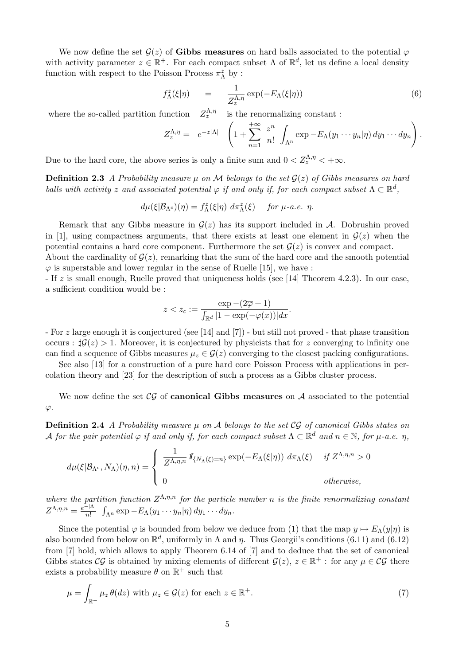We now define the set  $\mathcal{G}(z)$  of Gibbs measures on hard balls associated to the potential  $\varphi$ with activity parameter  $z \in \mathbb{R}^+$ . For each compact subset  $\Lambda$  of  $\mathbb{R}^d$ , let us define a local density function with respect to the Poisson Process  $\pi^z_\Lambda$  by :

$$
f_{\Lambda}^{z}(\xi|\eta) = \frac{1}{Z_{z}^{\Lambda,\eta}} \exp(-E_{\Lambda}(\xi|\eta))
$$
\n(6)

where the so-called partition function  $\sum_{z}^{\Lambda,\eta}$  is the renormalizing constant :

$$
Z_z^{\Lambda,\eta} = e^{-z|\Lambda|} \left(1 + \sum_{n=1}^{+\infty} \frac{z^n}{n!} \int_{\Lambda^n} \exp -E_\Lambda(y_1 \cdots y_n | \eta) dy_1 \cdots dy_n \right).
$$

Due to the hard core, the above series is only a finite sum and  $0 < Z_z^{\Lambda, \eta} < +\infty$ .

**Definition 2.3** A Probability measure  $\mu$  on M belongs to the set  $\mathcal{G}(z)$  of Gibbs measures on hard balls with activity z and associated potential  $\varphi$  if and only if, for each compact subset  $\Lambda \subset \mathbb{R}^d$ ,

$$
d\mu(\xi|\mathcal{B}_{\Lambda^c})(\eta) = f_{\Lambda}^z(\xi|\eta) \, d\pi_{\Lambda}^z(\xi) \quad \text{for } \mu\text{-}a.e. \ \eta.
$$

Remark that any Gibbs measure in  $\mathcal{G}(z)$  has its support included in A. Dobrushin proved in [1], using compactness arguments, that there exists at least one element in  $\mathcal{G}(z)$  when the potential contains a hard core component. Furthermore the set  $\mathcal{G}(z)$  is convex and compact. About the cardinality of  $G(z)$ , remarking that the sum of the hard core and the smooth potential  $\varphi$  is superstable and lower regular in the sense of Ruelle [15], we have :

- If z is small enough, Ruelle proved that uniqueness holds (see [14] Theorem 4.2.3). In our case, a sufficient condition would be :

$$
z < z_c := \frac{\exp - (2\overline{\varphi} + 1)}{\int_{\mathbb{R}^d} |1 - \exp(-\varphi(x))| dx}.
$$

- For z large enough it is conjectured (see [14] and [7]) - but still not proved - that phase transition occurs :  $\sharp \mathcal{G}(z) > 1$ . Moreover, it is conjectured by physicists that for z converging to infinity one can find a sequence of Gibbs measures  $\mu_z \in \mathcal{G}(z)$  converging to the closest packing configurations.

See also [13] for a construction of a pure hard core Poisson Process with applications in percolation theory and [23] for the description of such a process as a Gibbs cluster process.

We now define the set  $\mathcal{CG}$  of **canonical Gibbs measures** on  $\mathcal A$  associated to the potential  $\varphi$ .

**Definition 2.4** A Probability measure  $\mu$  on A belongs to the set CG of canonical Gibbs states on A for the pair potential  $\varphi$  if and only if, for each compact subset  $\Lambda \subset \mathbb{R}^d$  and  $n \in \mathbb{N}$ , for  $\mu$ -a.e.  $\eta$ ,

$$
d\mu(\xi|\mathcal{B}_{\Lambda^c}, N_{\Lambda})(\eta, n) = \begin{cases} \frac{1}{Z^{\Lambda, \eta, n}} \mathbf{1}_{\{N_{\Lambda}(\xi) = n\}} \exp(-E_{\Lambda}(\xi|\eta)) d\pi_{\Lambda}(\xi) & \text{if } Z^{\Lambda, \eta, n} > 0 \\ 0 & \text{otherwise,} \end{cases}
$$

where the partition function  $Z^{\Lambda,\eta,n}$  for the particle number n is the finite renormalizing constant  $Z^{\Lambda,\eta,n}=\frac{e^{-|\Lambda|}}{n!}$  $\frac{1}{n!} \int_{\Lambda^n} \exp -E_\Lambda(y_1\cdots y_n|\eta) \, dy_1\cdots dy_n.$ 

Since the potential  $\varphi$  is bounded from below we deduce from (1) that the map  $y \mapsto E_{\Lambda}(y|\eta)$  is also bounded from below on  $\mathbb{R}^d$ , uniformly in  $\Lambda$  and  $\eta$ . Thus Georgii's conditions (6.11) and (6.12) from [7] hold, which allows to apply Theorem 6.14 of [7] and to deduce that the set of canonical Gibbs states CG is obtained by mixing elements of different  $\mathcal{G}(z)$ ,  $z \in \mathbb{R}^+$ : for any  $\mu \in \mathcal{CG}$  there exists a probability measure  $\theta$  on  $\mathbb{R}^+$  such that

$$
\mu = \int_{\mathbb{R}^+} \mu_z \,\theta(dz) \text{ with } \mu_z \in \mathcal{G}(z) \text{ for each } z \in \mathbb{R}^+.
$$
 (7)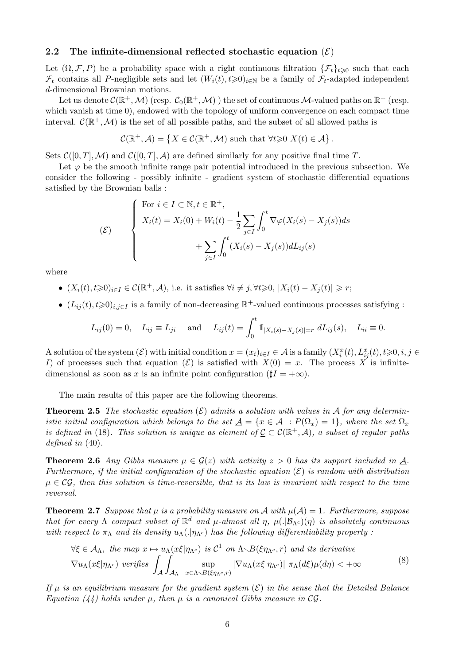### 2.2 The infinite-dimensional reflected stochastic equation  $(\mathcal{E})$

Let  $(\Omega, \mathcal{F}, P)$  be a probability space with a right continuous filtration  $\{\mathcal{F}_t\}_{t\geq 0}$  such that each  $\mathcal{F}_t$  contains all P-negligible sets and let  $(W_i(t), t \geq 0)_{i \in \mathbb{N}}$  be a family of  $\mathcal{F}_t$ -adapted independent d-dimensional Brownian motions.

Let us denote  $\mathcal{C}(\mathbb{R}^+,\mathcal{M})$  (resp.  $\mathcal{C}_0(\mathbb{R}^+,\mathcal{M})$  ) the set of continuous  $\mathcal{M}\text{-valued paths on }\mathbb{R}^+$  (resp. which vanish at time 0), endowed with the topology of uniform convergence on each compact time interval.  $\mathcal{C}(\mathbb{R}^+, \mathcal{M})$  is the set of all possible paths, and the subset of all allowed paths is

$$
\mathcal{C}(\mathbb{R}^+, \mathcal{A}) = \left\{ X \in \mathcal{C}(\mathbb{R}^+, \mathcal{M}) \text{ such that } \forall t \geq 0 \ X(t) \in \mathcal{A} \right\}.
$$

Sets  $\mathcal{C}([0,T],\mathcal{M})$  and  $\mathcal{C}([0,T],\mathcal{A})$  are defined similarly for any positive final time T.

Let  $\varphi$  be the smooth infinite range pair potential introduced in the previous subsection. We consider the following - possibly infinite - gradient system of stochastic differential equations satisfied by the Brownian balls :

$$
\begin{cases}\n\text{For } i \in I \subset \mathbb{N}, t \in \mathbb{R}^+, \\
X_i(t) = X_i(0) + W_i(t) - \frac{1}{2} \sum_{j \in I} \int_0^t \nabla \varphi(X_i(s) - X_j(s)) ds \\
+ \sum_{j \in I} \int_0^t (X_i(s) - X_j(s)) dL_{ij}(s)\n\end{cases}
$$

where

- $(X_i(t), t \geq 0)_{i \in I} \in \mathcal{C}(\mathbb{R}^+, \mathcal{A}),$  i.e. it satisfies  $\forall i \neq j, \forall t \geq 0, |X_i(t) X_j(t)| \geq r;$
- $(L_{ij}(t), t \ge 0)_{i,j \in I}$  is a family of non-decreasing  $\mathbb{R}^+$ -valued continuous processes satisfying :

$$
L_{ij}(0) = 0
$$
,  $L_{ij} \equiv L_{ji}$  and  $L_{ij}(t) = \int_0^t \mathbb{1}_{|X_i(s) - X_j(s)| = r} dL_{ij}(s)$ ,  $L_{ii} \equiv 0$ .

A solution of the system  $(\mathcal{E})$  with initial condition  $x = (x_i)_{i \in I} \in \mathcal{A}$  is a family  $(X_i^x(t), L_{ij}^x(t), t \geq 0, i, j \in$ I) of processes such that equation  $(\mathcal{E})$  is satisfied with  $X(0) = x$ . The process X is infinitedimensional as soon as x is an infinite point configuration ( $|I| = +\infty$ ).

The main results of this paper are the following theorems.

**Theorem 2.5** The stochastic equation  $(\mathcal{E})$  admits a solution with values in A for any deterministic initial configuration which belongs to the set  $\underline{A} = \{x \in \mathcal{A} : P(\Omega_x) = 1\}$ , where the set  $\Omega_x$ is defined in (18). This solution is unique as element of  $\underline{C} \subset C(\mathbb{R}^+, \mathcal{A})$ , a subset of regular paths defined in (40).

**Theorem 2.6** Any Gibbs measure  $\mu \in \mathcal{G}(z)$  with activity  $z > 0$  has its support included in A. Furthermore, if the initial configuration of the stochastic equation  $(\mathcal{E})$  is random with distribution  $\mu \in \mathcal{CG}$ , then this solution is time-reversible, that is its law is invariant with respect to the time reversal.

**Theorem 2.7** Suppose that  $\mu$  is a probability measure on A with  $\mu(\underline{A}) = 1$ . Furthermore, suppose that for every  $\Lambda$  compact subset of  $\mathbb{R}^d$  and  $\mu$ -almost all  $\eta$ ,  $\mu(.|\mathcal{B}_{\Lambda^c})(\eta)$  is absolutely continuous with respect to  $\pi_\Lambda$  and its density  $u_\Lambda(\cdot|\eta_{\Lambda^c})$  has the following differentiability property :

$$
\forall \xi \in \mathcal{A}_{\Lambda}, \text{ the map } x \mapsto u_{\Lambda}(x\xi|\eta_{\Lambda^c}) \text{ is } \mathcal{C}^1 \text{ on } \Lambda \setminus B(\xi\eta_{\Lambda^c}, r) \text{ and its derivative}
$$
  

$$
\nabla u_{\Lambda}(x\xi|\eta_{\Lambda^c}) \text{ verifies } \int_{\mathcal{A}} \int_{\mathcal{A}_{\Lambda}} \sup_{x \in \Lambda \setminus B(\xi\eta_{\Lambda^c}, r)} |\nabla u_{\Lambda}(x\xi|\eta_{\Lambda^c})| \pi_{\Lambda}(d\xi)\mu(d\eta) < +\infty
$$
 (8)

If  $\mu$  is an equilibrium measure for the gradient system  $(\mathcal{E})$  in the sense that the Detailed Balance Equation (44) holds under  $\mu$ , then  $\mu$  is a canonical Gibbs measure in CG.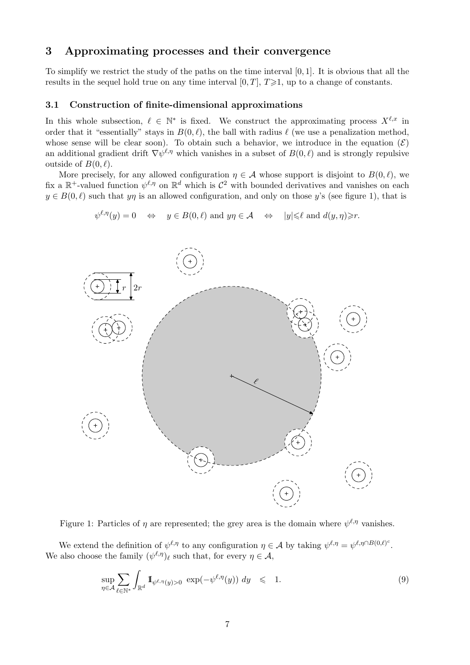## 3 Approximating processes and their convergence

To simplify we restrict the study of the paths on the time interval [0, 1]. It is obvious that all the results in the sequel hold true on any time interval  $[0, T]$ ,  $T \geq 1$ , up to a change of constants.

## 3.1 Construction of finite-dimensional approximations

In this whole subsection,  $\ell \in \mathbb{N}^*$  is fixed. We construct the approximating process  $X^{\ell,x}$  in order that it "essentially" stays in  $B(0, \ell)$ , the ball with radius  $\ell$  (we use a penalization method, whose sense will be clear soon). To obtain such a behavior, we introduce in the equation  $(\mathcal{E})$ an additional gradient drift  $\nabla \psi^{\ell,\eta}$  which vanishes in a subset of  $B(0,\ell)$  and is strongly repulsive outside of  $B(0, \ell)$ .

More precisely, for any allowed configuration  $\eta \in \mathcal{A}$  whose support is disjoint to  $B(0, \ell)$ , we fix a  $\mathbb{R}^+$ -valued function  $\psi^{\ell,\eta}$  on  $\mathbb{R}^d$  which is  $\mathcal{C}^2$  with bounded derivatives and vanishes on each  $y \in B(0, \ell)$  such that yn is an allowed configuration, and only on those y's (see figure 1), that is

$$
\psi^{\ell,\eta}(y) = 0 \iff y \in B(0,\ell) \text{ and } y\eta \in \mathcal{A} \iff |y| \leq \ell \text{ and } d(y,\eta) \geq r.
$$



Figure 1: Particles of  $\eta$  are represented; the grey area is the domain where  $\psi^{\ell,\eta}$  vanishes.

We extend the definition of  $\psi^{\ell,\eta}$  to any configuration  $\eta \in \mathcal{A}$  by taking  $\psi^{\ell,\eta} = \psi^{\ell,\eta} \cap B(0,\ell)^c$ . We also choose the family  $(\psi^{\ell,\eta})_\ell$  such that, for every  $\eta \in \mathcal{A}$ ,

$$
\sup_{\eta \in \mathcal{A}} \sum_{\ell \in \mathbb{N}^*} \int_{\mathbb{R}^d} \mathbb{I}_{\psi^{\ell, \eta}(y) > 0} \exp(-\psi^{\ell, \eta}(y)) dy \leq 1.
$$
 (9)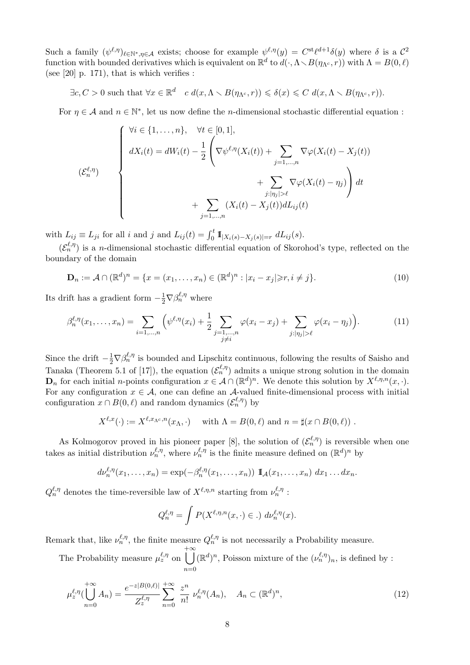Such a family  $(\psi^{\ell,\eta})_{\ell \in \mathbb{N}^*,\eta \in \mathcal{A}}$  exists; choose for example  $\psi^{\ell,\eta}(y) = C^{st}\ell^{d+1}\delta(y)$  where  $\delta$  is a  $\mathcal{C}^2$ function with bounded derivatives which is equivalent on  $\mathbb{R}^d$  to  $d(\cdot, \Lambda \setminus B(\eta_{\Lambda^c}, r))$  with  $\Lambda = B(0, \ell)$ (see  $[20]$  p. 171), that is which verifies :

 $\exists c, C > 0 \text{ such that } \forall x \in \mathbb{R}^d \quad c \ d(x, \Lambda \setminus B(\eta_{\Lambda^c}, r)) \leqslant \delta(x) \leqslant C \ d(x, \Lambda \setminus B(\eta_{\Lambda^c}, r)).$ 

For  $\eta \in \mathcal{A}$  and  $n \in \mathbb{N}^*$ , let us now define the *n*-dimensional stochastic differential equation :

$$
(\mathcal{E}_n^{\ell,\eta})
$$
\n
$$
\begin{cases}\n\forall i \in \{1,\ldots,n\}, & \forall t \in [0,1], \\
dX_i(t) = dW_i(t) - \frac{1}{2} \left( \nabla \psi^{\ell,\eta}(X_i(t)) + \sum_{j=1,\ldots,n} \nabla \varphi(X_i(t) - X_j(t))\right. \\
\left. + \sum_{j:\lvert \eta_j \rvert > \ell} \nabla \varphi(X_i(t) - \eta_j) \right) dt \\
+ \sum_{j=1,\ldots,n} (X_i(t) - X_j(t)) dL_{ij}(t)\n\end{cases}
$$

with  $L_{ij} \equiv L_{ji}$  for all i and j and  $L_{ij}(t) = \int_0^t \mathbb{I}_{|X_i(s) - X_j(s)| = r} dL_{ij}(s)$ .

 $(\mathcal{E}_n^{\ell,\eta})$  is a *n*-dimensional stochastic differential equation of Skorohod's type, reflected on the boundary of the domain

$$
\mathbf{D}_n := \mathcal{A} \cap (\mathbb{R}^d)^n = \{ x = (x_1, \dots, x_n) \in (\mathbb{R}^d)^n : |x_i - x_j| \ge r, i \ne j \}.
$$
 (10)

Its drift has a gradient form  $-\frac{1}{2}\nabla \beta_n^{\ell,\eta}$  where

$$
\beta_n^{\ell,\eta}(x_1,\ldots,x_n) = \sum_{i=1,\ldots,n} \left( \psi^{\ell,\eta}(x_i) + \frac{1}{2} \sum_{\substack{j=1,\ldots,n \\ j \neq i}} \varphi(x_i - x_j) + \sum_{j:|\eta_j| > \ell} \varphi(x_i - \eta_j) \right). \tag{11}
$$

Since the drift  $-\frac{1}{2}\nabla\beta_n^{\ell,\eta}$  is bounded and Lipschitz continuous, following the results of Saisho and Tanaka (Theorem 5.1 of [17]), the equation  $(\mathcal{E}_n^{\ell,\eta})$  admits a unique strong solution in the domain  $\mathbf{D}_n$  for each initial *n*-points configuration  $x \in \mathcal{A} \cap (\mathbb{R}^d)^n$ . We denote this solution by  $X^{\ell,\eta,n}(x, \cdot)$ . For any configuration  $x \in \mathcal{A}$ , one can define an  $\mathcal{A}$ -valued finite-dimensional process with initial configuration  $x \cap B(0, \ell)$  and random dynamics  $(\mathcal{E}_n^{\ell, \eta})$  by

$$
X^{\ell,x}(\cdot) := X^{\ell,x_{\Lambda^c},n}(x_{\Lambda},\cdot) \quad \text{ with } \Lambda = B(0,\ell) \text{ and } n = \sharp(x \cap B(0,\ell)) .
$$

As Kolmogorov proved in his pioneer paper [8], the solution of  $(\mathcal{E}_n^{\ell,\eta})$  is reversible when one takes as initial distribution  $\nu_n^{\ell,\eta}$ , where  $\nu_n^{\ell,\eta}$  is the finite measure defined on  $(\mathbb{R}^d)^n$  by

$$
d\nu_n^{\ell,\eta}(x_1,\ldots,x_n)=\exp(-\beta_n^{\ell,\eta}(x_1,\ldots,x_n))\mathbb{I}_{\mathcal{A}}(x_1,\ldots,x_n)\,dx_1\ldots dx_n.
$$

 $Q_n^{\ell,\eta}$  denotes the time-reversible law of  $X^{\ell,\eta,n}$  starting from  $\nu_n^{\ell,\eta}$ :

$$
Q_n^{\ell,\eta} = \int P(X^{\ell,\eta,n}(x,\cdot) \in .) d\nu_n^{\ell,\eta}(x).
$$

Remark that, like  $\nu_n^{\ell,\eta}$ , the finite measure  $Q_n^{\ell,\eta}$  is not necessarily a Probability measure.

The Probability measure  $\mu_z^{\ell,\eta}$  on  $+ \infty$  $n=0$  $(\mathbb{R}^d)^n$ , Poisson mixture of the  $(\nu_n^{\ell,\eta})_n$ , is defined by :

$$
\mu_z^{\ell,\eta}(\bigcup_{n=0}^{+\infty} A_n) = \frac{e^{-z|B(0,\ell)|}}{Z_z^{\ell,\eta}} \sum_{n=0}^{+\infty} \frac{z^n}{n!} \nu_n^{\ell,\eta}(A_n), \quad A_n \subset (\mathbb{R}^d)^n,
$$
\n(12)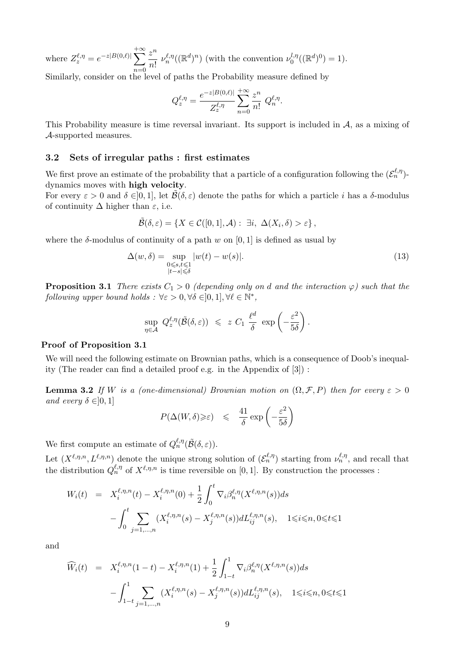where  $Z_z^{\ell,\eta} = e^{-z|B(0,\ell)|} \sum$  $+\infty$  $n=0$  $z^n$  $\frac{z^m}{n!} \nu_n^{\ell,\eta}((\mathbb{R}^d)^n)$  (with the convention  $\nu_0^{l,\eta}$  $b_0^{l,\eta}((\mathbb{R}^d)^0) = 1).$ 

Similarly, consider on the level of paths the Probability measure defined by

$$
Q_z^{\ell,\eta} = \frac{e^{-z|B(0,\ell)|}}{Z_z^{\ell,\eta}} \sum_{n=0}^{+\infty} \frac{z^n}{n!} Q_n^{\ell,\eta}.
$$

This Probability measure is time reversal invariant. Its support is included in  $A$ , as a mixing of A-supported measures.

## 3.2 Sets of irregular paths : first estimates

We first prove an estimate of the probability that a particle of a configuration following the  $(\mathcal{E}_n^{\ell,\eta})$ dynamics moves with high velocity.

For every  $\varepsilon > 0$  and  $\delta \in ]0,1]$ , let  $\tilde{\mathcal{B}}(\delta,\varepsilon)$  denote the paths for which a particle i has a  $\delta$ -modulus of continuity  $\Delta$  higher than  $\varepsilon$ , i.e.

$$
\widetilde{\mathcal{B}}(\delta,\varepsilon)=\left\{X\in\mathcal{C}([0,1],\mathcal{A}): \exists i,\ \Delta(X_i,\delta)>\varepsilon\right\},\
$$

where the  $\delta$ -modulus of continuity of a path w on [0, 1] is defined as usual by

$$
\Delta(w,\delta) = \sup_{\substack{0 \le s,t \le 1\\|t-s| \le \delta}} |w(t) - w(s)|. \tag{13}
$$

**Proposition 3.1** There exists  $C_1 > 0$  (depending only on d and the interaction  $\varphi$ ) such that the following upper bound holds :  $\forall \varepsilon > 0, \forall \delta \in ]0,1], \forall \ell \in \mathbb{N}^*,$ 

$$
\sup_{\eta \in \mathcal{A}} Q^{\ell, \eta}_{z}(\widetilde{\mathcal{B}}(\delta, \varepsilon)) \leqslant z C_1 \frac{\ell^{d}}{\delta} \exp \left(-\frac{\varepsilon^{2}}{5\delta}\right).
$$

## Proof of Proposition 3.1

We will need the following estimate on Brownian paths, which is a consequence of Doob's inequality (The reader can find a detailed proof e.g. in the Appendix of [3]) :

**Lemma 3.2** If W is a (one-dimensional) Brownian motion on  $(\Omega, \mathcal{F}, P)$  then for every  $\varepsilon > 0$ and every  $\delta \in ]0,1]$ 

$$
P(\Delta(W,\delta)\geqslant\varepsilon)\quad\leqslant\quad \frac{41}{\delta}\exp\left(-\frac{\varepsilon^2}{5\delta}\right)
$$

We first compute an estimate of  $Q_n^{\ell,\eta}(\tilde{\mathcal{B}}(\delta,\varepsilon)).$ 

Let  $(X^{\ell,\eta,n}, L^{\ell,\eta,n})$  denote the unique strong solution of  $(\mathcal{E}_n^{\ell,\eta})$  starting from  $\nu_n^{\ell,\eta}$ , and recall that the distribution  $Q_n^{\ell,\eta}$  of  $X^{\ell,\eta,n}$  is time reversible on [0, 1]. By construction the processes :

$$
W_i(t) = X_i^{\ell, \eta, n}(t) - X_i^{\ell, \eta, n}(0) + \frac{1}{2} \int_0^t \nabla_i \beta_n^{\ell, \eta}(X^{\ell, \eta, n}(s)) ds - \int_0^t \sum_{j=1, ..., n} (X_i^{\ell, \eta, n}(s) - X_j^{\ell, \eta, n}(s)) dL_{ij}^{\ell, \eta, n}(s), \quad 1 \le i \le n, 0 \le t \le 1
$$

and

$$
\widehat{W}_i(t) = X_i^{\ell,\eta,n}(1-t) - X_i^{\ell,\eta,n}(1) + \frac{1}{2} \int_{1-t}^1 \nabla_i \beta_n^{\ell,\eta}(X^{\ell,\eta,n}(s)) ds
$$

$$
- \int_{1-t}^1 \sum_{j=1,\dots,n} (X_i^{\ell,\eta,n}(s) - X_j^{\ell,\eta,n}(s)) dL_{ij}^{\ell,\eta,n}(s), \quad 1 \le i \le n, 0 \le t \le 1
$$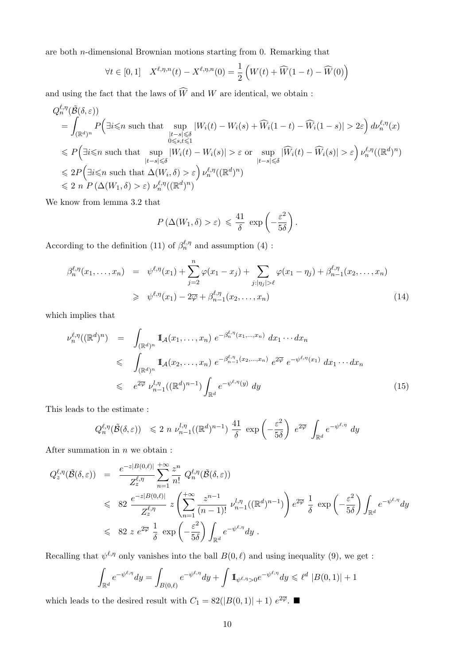are both n-dimensional Brownian motions starting from 0. Remarking that

$$
\forall t \in [0,1] \quad X^{\ell,\eta,n}(t) - X^{\ell,\eta,n}(0) = \frac{1}{2} \left( W(t) + \widehat{W}(1-t) - \widehat{W}(0) \right)
$$

and using the fact that the laws of  $\widehat{W}$  and W are identical, we obtain :

$$
Q_n^{\ell,\eta}(\tilde{\mathcal{B}}(\delta,\varepsilon))
$$
\n
$$
= \int_{(\mathbb{R}^d)^n} P\Big(\exists i \leq n \text{ such that } \sup_{\substack{|t-s| \leq \delta \\ 0 \leq s,t \leq 1}} |W_i(t) - W_i(s) + \widehat{W}_i(1-t) - \widehat{W}_i(1-s)| > 2\varepsilon\Big) d\nu_n^{\ell,\eta}(x)
$$
\n
$$
\leq P\Big(\exists i \leq n \text{ such that } \sup_{\substack{|t-s| \leq \delta \\ |t-s| \leq \delta}} |W_i(t) - W_i(s)| > \varepsilon \text{ or } \sup_{\substack{|t-s| \leq \delta \\ |t-s| \leq \delta}} |\widehat{W}_i(t) - \widehat{W}_i(s)| > \varepsilon\Big) \nu_n^{\ell,\eta}((\mathbb{R}^d)^n)
$$
\n
$$
\leq 2P\Big(\exists i \leq n \text{ such that } \Delta(W_i, \delta) > \varepsilon\Big) \nu_n^{\ell,\eta}((\mathbb{R}^d)^n)
$$
\n
$$
\leq 2 n P\left(\Delta(W_1, \delta) > \varepsilon\right) \nu_n^{\ell,\eta}((\mathbb{R}^d)^n)
$$

We know from lemma 3.2 that

$$
P(\Delta(W_1, \delta) > \varepsilon) \leq \frac{41}{\delta} \exp\left(-\frac{\varepsilon^2}{5\delta}\right).
$$

According to the definition (11) of  $\beta_n^{\ell,\eta}$  and assumption (4):

$$
\beta_n^{\ell,\eta}(x_1,\ldots,x_n) = \psi^{\ell,\eta}(x_1) + \sum_{j=2}^n \varphi(x_1 - x_j) + \sum_{j:|\eta_j|>\ell} \varphi(x_1 - \eta_j) + \beta_{n-1}^{\ell,\eta}(x_2,\ldots,x_n)
$$
  
\n
$$
\geq \psi^{\ell,\eta}(x_1) - 2\overline{\varphi} + \beta_{n-1}^{\ell,\eta}(x_2,\ldots,x_n)
$$
\n(14)

which implies that

$$
\nu_n^{\ell,\eta}((\mathbb{R}^d)^n) = \int_{(\mathbb{R}^d)^n} \mathbb{I}_{\mathcal{A}}(x_1,\ldots,x_n) \, e^{-\beta_n^{\ell,\eta}(x_1,\ldots,x_n)} \, dx_1 \cdots dx_n
$$
\n
$$
\leqslant \int_{(\mathbb{R}^d)^n} \mathbb{I}_{\mathcal{A}}(x_2,\ldots,x_n) \, e^{-\beta_{n-1}^{\ell,\eta}(x_2,\ldots,x_n)} \, e^{2\overline{\varphi}} \, e^{-\psi^{\ell,\eta}(x_1)} \, dx_1 \cdots dx_n
$$
\n
$$
\leqslant e^{2\overline{\varphi}} \, \nu_{n-1}^{l,\eta}((\mathbb{R}^d)^{n-1}) \int_{\mathbb{R}^d} e^{-\psi^{\ell,\eta}(y)} \, dy \tag{15}
$$

This leads to the estimate :

$$
Q_n^{\ell,\eta}(\tilde{\mathcal{B}}(\delta,\varepsilon)) \leq 2 n \nu_{n-1}^{l,\eta}((\mathbb{R}^d)^{n-1}) \frac{41}{\delta} \exp\left(-\frac{\varepsilon^2}{5\delta}\right) e^{2\overline{\varphi}} \int_{\mathbb{R}^d} e^{-\psi^{\ell,\eta}} dy
$$

After summation in  $n$  we obtain :

$$
Q_{z}^{\ell,\eta}(\tilde{\mathcal{B}}(\delta,\varepsilon)) = \frac{e^{-z|B(0,\ell)|}}{Z_{z}^{\ell,\eta}} \sum_{n=1}^{+\infty} \frac{z^{n}}{n!} Q_{n}^{\ell,\eta}(\tilde{\mathcal{B}}(\delta,\varepsilon))
$$
  
\$\leqslant 82 \frac{e^{-z|B(0,\ell)|}}{Z\_{z}^{\ell,\eta}} z\left(\sum\_{n=1}^{+\infty} \frac{z^{n-1}}{(n-1)!} \nu\_{n-1}^{l,\eta}((\mathbb{R}^{d})^{n-1})\right) e^{2\overline{\varphi}} \frac{1}{\delta} \exp\left(-\frac{\varepsilon^{2}}{5\delta}\right) \int\_{\mathbb{R}^{d}} e^{-\psi^{\ell,\eta}} dy  
\$\leqslant 82 z e^{2\overline{\varphi}} \frac{1}{\delta} \exp\left(-\frac{\varepsilon^{2}}{5\delta}\right) \int\_{\mathbb{R}^{d}} e^{-\psi^{\ell,\eta}} dy .

Recalling that  $\psi^{\ell,\eta}$  only vanishes into the ball  $B(0,\ell)$  and using inequality (9), we get :

$$
\int_{\mathbb{R}^d} e^{-\psi^{\ell,\eta}} dy = \int_{B(0,\ell)} e^{-\psi^{\ell,\eta}} dy + \int \mathbb{1}_{\psi^{\ell,\eta} > 0} e^{-\psi^{\ell,\eta}} dy \leq \ell^d |B(0,1)| + 1
$$

which leads to the desired result with  $C_1 = 82(|B(0,1)| + 1) e^{2\overline{\varphi}}$ .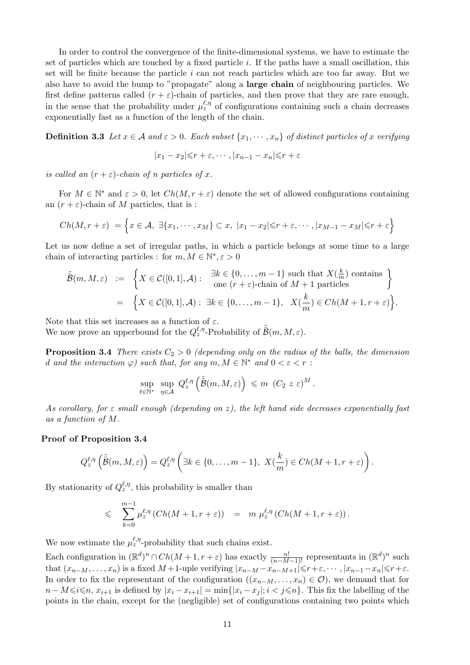In order to control the convergence of the finite-dimensional systems, we have to estimate the set of particles which are touched by a fixed particle i. If the paths have a small oscillation, this set will be finite because the particle  $i$  can not reach particles which are too far away. But we also have to avoid the bump to "propagate" along a large chain of neighbouring particles. We first define patterns called  $(r + \varepsilon)$ -chain of particles, and then prove that they are rare enough, in the sense that the probability under  $\mu_z^{\ell,\eta}$  of configurations containing such a chain decreases exponentially fast as a function of the length of the chain.

**Definition 3.3** Let  $x \in A$  and  $\varepsilon > 0$ . Each subset  $\{x_1, \dots, x_n\}$  of distinct particles of x verifying

$$
|x_1 - x_2| \le r + \varepsilon, \cdots, |x_{n-1} - x_n| \le r + \varepsilon
$$

is called an  $(r + \varepsilon)$ -chain of n particles of x.

For  $M \in \mathbb{N}^*$  and  $\varepsilon > 0$ , let  $Ch(M, r + \varepsilon)$  denote the set of allowed configurations containing an  $(r + \varepsilon)$ -chain of M particles, that is :

$$
Ch(M,r+\varepsilon) = \left\{ x \in \mathcal{A}, \ \exists \{x_1, \cdots, x_M\} \subset x, \ |x_1 - x_2| \leq r + \varepsilon, \cdots, |x_{M-1} - x_M| \leq r + \varepsilon \right\}
$$

Let us now define a set of irregular paths, in which a particle belongs at some time to a large chain of interacting particles : for  $m, M \in \mathbb{N}^*, \varepsilon > 0$ 

$$
\tilde{\mathcal{B}}(m, M, \varepsilon) := \left\{ X \in \mathcal{C}([0, 1], \mathcal{A}) : \begin{array}{l} \exists k \in \{0, \dots, m - 1\} \text{ such that } X(\frac{k}{m}) \text{ contains} \\ \text{one } (r + \varepsilon) \text{-chain of } M + 1 \text{ particles} \end{array} \right\}
$$
\n
$$
= \left\{ X \in \mathcal{C}([0, 1], \mathcal{A}) : \exists k \in \{0, \dots, m - 1\}, \ X(\frac{k}{m}) \in Ch(M + 1, r + \varepsilon) \right\}.
$$

Note that this set increases as a function of  $\varepsilon$ .

We now prove an upperbound for the  $Q_{z}^{\ell,\eta}$ -Probability of  $\tilde{B}(m, M, \varepsilon)$ .

**Proposition 3.4** There exists  $C_2 > 0$  (depending only on the radius of the balls, the dimension d and the interaction  $\varphi$ ) such that, for any  $m, M \in \mathbb{N}^*$  and  $0 < \varepsilon < r$ :

$$
\sup_{\ell \in \mathbb{N}^*} \sup_{\eta \in \mathcal{A}} Q_z^{\ell, \eta} \left( \tilde{\tilde{\mathcal{B}}}(m, M, \varepsilon) \right) \leqslant m \left( C_2 \ z \ \varepsilon \right)^M.
$$

As corollary, for  $\varepsilon$  small enough (depending on z), the left hand side decreases exponentially fast as a function of M.

#### Proof of Proposition 3.4

$$
Q_z^{\ell,\eta}\left(\tilde{\tilde{\mathcal{B}}}(m,M,\varepsilon)\right) = Q_z^{\ell,\eta}\left(\exists k \in \{0,\ldots,m-1\},\ X(\frac{k}{m}) \in Ch(M+1,r+\varepsilon)\right).
$$

By stationarity of  $Q_z^{\ell,\eta}$ , this probability is smaller than

$$
\leqslant \sum_{k=0}^{m-1} \mu_z^{\ell,\eta} \left( Ch(M+1,r+\varepsilon) \right) = m \mu_z^{\ell,\eta} \left( Ch(M+1,r+\varepsilon) \right).
$$

We now estimate the  $\mu_z^{\ell,\eta}$ -probability that such chains exist.

Each configuration in  $(\mathbb{R}^d)^n \cap Ch(M+1, r+\varepsilon)$  has exactly  $\frac{n!}{(n-M-1)!}$  representants in  $(\mathbb{R}^d)^n$  such that  $(x_{n-M},...,x_n)$  is a fixed  $M+1$ -uple verifying  $|x_{n-M}-x_{n-M+1}|\leqslant r+\varepsilon, \cdots, |x_{n-1}-x_n|\leqslant r+\varepsilon$ . In order to fix the representant of the configuration  $((x_{n-M}, \ldots, x_n) \in \mathcal{O})$ , we demand that for  $n - M \leq i \leq n$ ,  $x_{i+1}$  is defined by  $|x_i - x_{i+1}| = \min\{|x_i - x_j|; i < j \leq n\}$ . This fix the labelling of the points in the chain, except for the (negligible) set of configurations containing two points which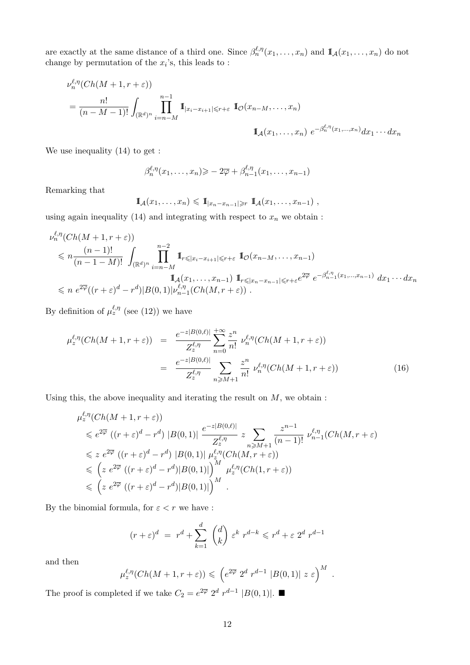are exactly at the same distance of a third one. Since  $\beta_n^{\ell,\eta}(x_1,\ldots,x_n)$  and  $\mathbb{I}_{\mathcal{A}}(x_1,\ldots,x_n)$  do not change by permutation of the  $x_i$ 's, this leads to:

$$
\nu_n^{\ell,\eta}(Ch(M+1,r+\varepsilon))
$$
\n
$$
= \frac{n!}{(n-M-1)!} \int_{(\mathbb{R}^d)^n} \prod_{i=n-M}^{n-1} \mathbb{I}_{|x_i - x_{i+1}| \leq r+\varepsilon} \mathbb{I}_{\mathcal{O}}(x_{n-M}, \dots, x_n)
$$
\n
$$
\mathbb{I}_{\mathcal{A}}(x_1, \dots, x_n) \ e^{-\beta_n^{\ell,\eta}(x_1, \dots, x_n)} dx_1 \cdots dx_n
$$

We use inequality (14) to get :

$$
\beta_n^{\ell,\eta}(x_1,\ldots,x_n) \geqslant -2\overline{\varphi} + \beta_{n-1}^{\ell,\eta}(x_1,\ldots,x_{n-1})
$$

Remarking that

$$
\mathbb{I}_{\mathcal{A}}(x_1,\ldots,x_n)\leqslant \mathbb{I}_{|x_n-x_{n-1}|\geqslant r} \mathbb{I}_{\mathcal{A}}(x_1,\ldots,x_{n-1}),
$$

using again inequality (14) and integrating with respect to  $x_n$  we obtain :

$$
\nu_n^{\ell,\eta}(Ch(M+1,r+\varepsilon))
$$
\n
$$
\leq n \frac{(n-1)!}{(n-1-M)!} \int_{(\mathbb{R}^d)^n} \prod_{i=n-M}^{n-2} \mathbf{I}_{r \leq |x_i - x_{i+1}| \leq r+\varepsilon} \mathbf{I}_{\mathcal{O}}(x_{n-M}, \dots, x_{n-1})
$$
\n
$$
\mathbf{I}_{\mathcal{A}}(x_1, \dots, x_{n-1}) \mathbf{I}_{r \leq |x_n - x_{n-1}| \leq r+\varepsilon} e^{2\overline{\varphi}} e^{-\beta_{n-1}^{\ell,\eta}(x_1, \dots, x_{n-1})} dx_1 \cdots dx_n
$$
\n
$$
\leq n e^{2\overline{\varphi}}((r+\varepsilon)^d - r^d)|B(0,1)|\nu_{n-1}^{\ell,\eta}(Ch(M,r+\varepsilon)).
$$

By definition of  $\mu_z^{\ell,\eta}$  (see (12)) we have

$$
\mu_z^{\ell,\eta}(Ch(M+1,r+\varepsilon)) = \frac{e^{-z|B(0,\ell)|}}{Z_z^{\ell,\eta}} \sum_{n=0}^{+\infty} \frac{z^n}{n!} \nu_n^{\ell,\eta}(Ch(M+1,r+\varepsilon))
$$

$$
= \frac{e^{-z|B(0,\ell)|}}{Z_z^{\ell,\eta}} \sum_{n \ge M+1} \frac{z^n}{n!} \nu_n^{\ell,\eta}(Ch(M+1,r+\varepsilon)) \tag{16}
$$

Using this, the above inequality and iterating the result on  $M$ , we obtain :

$$
\mu_z^{\ell,\eta}(Ch(M+1,r+\varepsilon))
$$
\n
$$
\leq e^{2\overline{\varphi}} \left( (r+\varepsilon)^d - r^d \right) |B(0,1)| \frac{e^{-z|B(0,\ell)|}}{Z_z^{\ell,\eta}} z \sum_{n \geq M+1} \frac{z^{n-1}}{(n-1)!} \nu_{n-1}^{\ell,\eta}(Ch(M,r+\varepsilon))
$$
\n
$$
\leq z e^{2\overline{\varphi}} \left( (r+\varepsilon)^d - r^d \right) |B(0,1)| \mu_z^{\ell,\eta}(Ch(M,r+\varepsilon))
$$
\n
$$
\leq \left( z e^{2\overline{\varphi}} \left( (r+\varepsilon)^d - r^d \right) |B(0,1)| \right)^M \mu_z^{\ell,\eta}(Ch(1,r+\varepsilon))
$$
\n
$$
\leq \left( z e^{2\overline{\varphi}} \left( (r+\varepsilon)^d - r^d \right) |B(0,1)| \right)^M.
$$

By the binomial formula, for  $\varepsilon < r$  we have :

$$
(r+\varepsilon)^d = r^d + \sum_{k=1}^d \binom{d}{k} \varepsilon^k r^{d-k} \leqslant r^d + \varepsilon 2^d r^{d-1}
$$

and then

$$
\mu_z^{\ell,\eta}(Ch(M+1,r+\varepsilon)) \leqslant \left(e^{2\overline{\varphi}} 2^d r^{d-1} |B(0,1)| z \varepsilon\right)^M.
$$

The proof is completed if we take  $C_2 = e^{2\overline{\varphi}} 2^d r^{d-1} |B(0,1)|$ .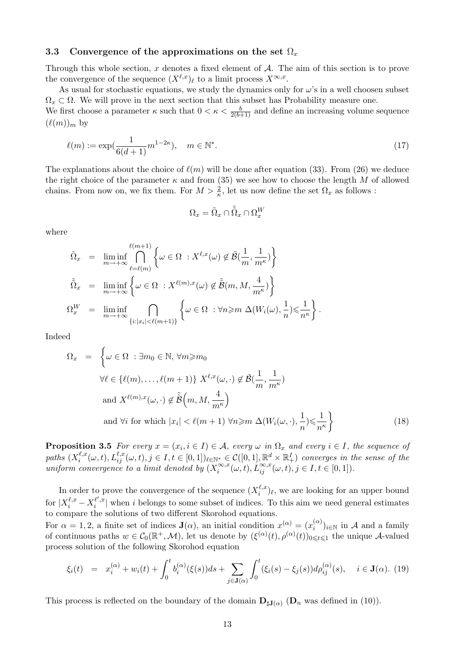## 3.3 Convergence of the approximations on the set  $\Omega_x$

Through this whole section,  $x$  denotes a fixed element of  $A$ . The aim of this section is to prove the convergence of the sequence  $(X^{\ell,x})_\ell$  to a limit process  $X^{\infty,x}$ .

As usual for stochastic equations, we study the dynamics only for  $\omega$ 's in a well choosen subset  $\Omega_x \subset \Omega$ . We will prove in the next section that this subset has Probability measure one.

We first choose a parameter  $\kappa$  such that  $0 < \kappa < \frac{b}{2(b+1)}$  and define an increasing volume sequence  $(\ell(m))_m$  by

$$
\ell(m) := \exp(\frac{1}{6(d+1)}m^{1-2\kappa}), \quad m \in \mathbb{N}^*.
$$
 (17)

The explanations about the choice of  $\ell(m)$  will be done after equation (33). From (26) we deduce the right choice of the parameter  $\kappa$  and from (35) we see how to choose the length M of allowed chains. From now on, we fix them. For  $M > \frac{2}{\kappa}$ , let us now define the set  $\Omega_x$  as follows:

$$
\Omega_x = \tilde{\Omega}_x \cap \tilde{\tilde{\Omega}}_x \cap \Omega^W_x
$$

where

$$
\tilde{\Omega}_{x} = \liminf_{m \to +\infty} \bigcap_{\ell = (\ell m)}^{\ell(m+1)} \left\{ \omega \in \Omega \, : X^{\ell,x}(\omega) \notin \tilde{\mathcal{B}}\left(\frac{1}{m}, \frac{1}{m^{\kappa}}\right) \right\}
$$
\n
$$
\tilde{\Omega}_{x} = \liminf_{m \to +\infty} \left\{ \omega \in \Omega \, : X^{\ell(m),x}(\omega) \notin \tilde{\mathcal{B}}\left(m, M, \frac{4}{m^{\kappa}}\right) \right\}
$$
\n
$$
\Omega_{x}^{W} = \liminf_{m \to +\infty} \bigcap_{\{i: |x_{i}| < \ell(m+1)\}} \left\{ \omega \in \Omega \, : \forall n \geq m \; \Delta(W_{i}(\omega), \frac{1}{n}) \leq \frac{1}{n^{\kappa}} \right\}.
$$

Indeed

$$
\Omega_x = \left\{ \omega \in \Omega : \exists m_0 \in \mathbb{N}, \forall m \ge m_0 \right\}
$$
  

$$
\forall \ell \in \{ \ell(m), \dots, \ell(m+1) \} \ X^{\ell,x}(\omega, \cdot) \notin \tilde{\mathcal{B}}(\frac{1}{m}, \frac{1}{m^{\kappa}})
$$
  
and 
$$
X^{\ell(m), x}(\omega, \cdot) \notin \tilde{\tilde{\mathcal{B}}}\left(m, M, \frac{4}{m^{\kappa}}\right)
$$
  
and 
$$
\forall i \text{ for which } |x_i| < \ell(m+1) \ \forall n \ge m \ \Delta(W_i(\omega, \cdot), \frac{1}{n}) \le \frac{1}{n^{\kappa}} \right\}
$$
(18)

**Proposition 3.5** For every  $x = (x_i, i \in I) \in A$ , every  $\omega$  in  $\Omega_x$  and every  $i \in I$ , the sequence of paths  $(X_i^{\ell,x})$  $\ell_i^{l,x}(\omega,t), L_{ij}^{\ell,x}(\omega,t), j \in I, t \in [0,1])_{\ell \in \mathbb{N}^*} \in \mathcal{C}([0,1], \mathbb{R}^d \times \mathbb{R}_+^I)$  converges in the sense of the uniform convergence to a limit denoted by  $(X_i^{\infty,x})$  $\sum_{i}^{\infty,x}(\omega,t), L_{ij}^{\infty,x}(\omega,t), j\in I, t\in [0,1]).$ 

In order to prove the convergence of the sequence  $(X_i^{\ell,x})$  $\binom{\ell, x}{i}$ , we are looking for an upper bound for  $X_i^{\ell,x} - X_i^{\ell',x}$  $\binom{\ell}{i}$  when i belongs to some subset of indices. To this aim we need general estimates to compare the solutions of two different Skorohod equations.

For  $\alpha = 1, 2$ , a finite set of indices  $\mathbf{J}(\alpha)$ , an initial condition  $x^{(\alpha)} = (x_i^{(\alpha)})$  $\binom{\alpha}{i}$ <sub>i</sub> $\in \mathbb{N}$  in A and a family of continuous paths  $w \in C_0(\mathbb{R}^+, \mathcal{M})$ , let us denote by  $(\xi^{(\alpha)}(t), \rho^{(\alpha)}(t))_{0 \leq t \leq 1}$  the unique A-valued process solution of the following Skorohod equation

$$
\xi_i(t) = x_i^{(\alpha)} + w_i(t) + \int_0^t b_i^{(\alpha)}(\xi(s))ds + \sum_{j \in \mathbf{J}(\alpha)} \int_0^t (\xi_i(s) - \xi_j(s))d\rho_{ij}^{(\alpha)}(s), \quad i \in \mathbf{J}(\alpha). \tag{19}
$$

This process is reflected on the boundary of the domain  $\mathbf{D}_{\sharp J(\alpha)}$  ( $\mathbf{D}_n$  was defined in (10)).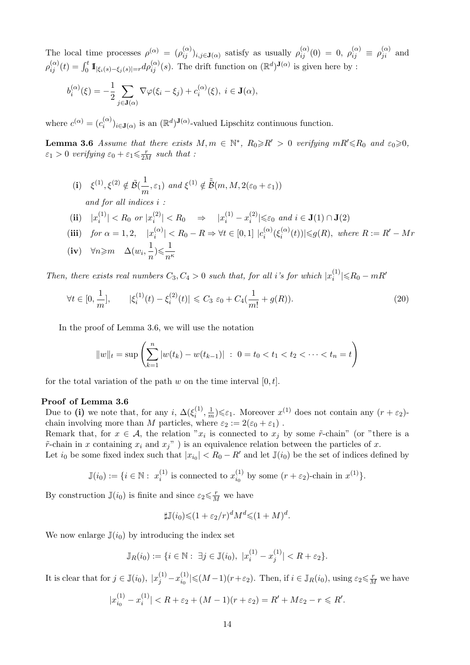The local time processes  $\rho^{(\alpha)} = (\rho_{ij}^{(\alpha)})_{i,j\in\mathbf{J}(\alpha)}$  satisfy as usually  $\rho_{ij}^{(\alpha)}(0) = 0$ ,  $\rho_{ij}^{(\alpha)} \equiv \rho_{ji}^{(\alpha)}$  and  $\rho_{ij}^{(\alpha)}(t) = \int_0^t \mathbb{1}_{|\xi_i(s) - \xi_j(s)| = r} d\rho_{ij}^{(\alpha)}(s)$ . The drift function on  $(\mathbb{R}^d)^{J(\alpha)}$  is given here by :

$$
b_i^{(\alpha)}(\xi) = -\frac{1}{2} \sum_{j \in \mathbf{J}(\alpha)} \nabla \varphi(\xi_i - \xi_j) + c_i^{(\alpha)}(\xi), \ i \in \mathbf{J}(\alpha),
$$

where  $c^{(\alpha)} = (c_i^{(\alpha)}$  $\binom{\alpha}{i}$ <sub>i</sub> $\in$ **J**( $\alpha$ ) is an  $(\mathbb{R}^d)$ **J**( $\alpha$ )-valued Lipschitz continuous function.

**Lemma 3.6** Assume that there exists  $M, m \in \mathbb{N}^*, R_0 \ge R' > 0$  verifying  $mR' \le R_0$  and  $\varepsilon_0 \ge 0$ ,  $\varepsilon_1 > 0$  verifying  $\varepsilon_0 + \varepsilon_1 \leq \frac{r}{2M}$  such that :

(i) 
$$
\xi^{(1)}, \xi^{(2)} \notin \tilde{\mathcal{B}}(\frac{1}{m}, \varepsilon_1)
$$
 and  $\xi^{(1)} \notin \tilde{\tilde{\mathcal{B}}}(m, M, 2(\varepsilon_0 + \varepsilon_1))$   
and for all indices  $i$ :

$$
\textbf{(ii)} \quad |x_i^{(1)}| < R_0 \text{ or } |x_i^{(2)}| < R_0 \quad \Rightarrow \quad |x_i^{(1)} - x_i^{(2)}| \leq \varepsilon_0 \text{ and } i \in \mathbf{J}(1) \cap \mathbf{J}(2)
$$

(iii) for  $\alpha = 1, 2, \quad |x_i^{(\alpha)}|$  $|a_i^{(\alpha)}|$  < R<sub>0</sub> – R  $\Rightarrow \forall t \in [0,1]$   $|c_i^{(\alpha)}|$  $\zeta_i^{(\alpha)}(\xi_i^{(\alpha)})$  $\mathcal{L}_i^{(\alpha)}(t)$ | $\leqslant g(R)$ , where  $R := R' - Mr$ (iv)  $\forall n \geqslant m$  △( $w_i, \frac{1}{n}$  $\frac{1}{n}) \leqslant \frac{1}{n'}$  $n<sup>\kappa</sup>$ 

Then, there exists real numbers  $C_3, C_4 > 0$  such that, for all i's for which  $|x_i^{(1)}\rangle$  $\binom{1}{i}$ |≤R<sub>0</sub> − mR'

$$
\forall t \in [0, \frac{1}{m}], \qquad |\xi_i^{(1)}(t) - \xi_i^{(2)}(t)| \leq C_3 \, \varepsilon_0 + C_4(\frac{1}{m!} + g(R)). \tag{20}
$$

In the proof of Lemma 3.6, we will use the notation

$$
||w||_t = \sup \left( \sum_{k=1}^n |w(t_k) - w(t_{k-1})| : 0 = t_0 < t_1 < t_2 < \cdots < t_n = t \right)
$$

for the total variation of the path w on the time interval  $[0, t]$ .

## Proof of Lemma 3.6

Due to (i) we note that, for any i,  $\Delta(\xi_i^{(1)})$  $\frac{1}{i}$ ,  $\frac{1}{n}$  $\frac{1}{m}$ ) $\leq \varepsilon_1$ . Moreover  $x^{(1)}$  does not contain any  $(r + \varepsilon_2)$ chain involving more than M particles, where  $\varepsilon_2 := 2(\varepsilon_0 + \varepsilon_1)$ .

Remark that, for  $x \in A$ , the relation " $x_i$  is connected to  $x_j$  by some  $\tilde{r}$ -chain" (or "there is a  $\tilde{r}$ -chain in x containing  $x_i$  and  $x_j$ ") is an equivalence relation between the particles of x.

Let  $i_0$  be some fixed index such that  $|x_{i_0}| < R_0 - R'$  and let  $\mathbb{J}(i_0)$  be the set of indices defined by

$$
\mathbb{J}(i_0) := \{ i \in \mathbb{N} : x_i^{(1)} \text{ is connected to } x_{i_0}^{(1)} \text{ by some } (r + \varepsilon_2)\text{-chain in } x^{(1)} \}.
$$

By construction  $\mathbb{J}(i_0)$  is finite and since  $\varepsilon_2 \leq \frac{r}{M}$  we have

$$
\sharp \mathbb{J}(i_0) \leq (1 + \varepsilon_2/r)^d M^d \leq (1 + M)^d.
$$

We now enlarge  $\mathbb{J}(i_0)$  by introducing the index set

$$
\mathbb{J}_R(i_0) := \{ i \in \mathbb{N} : \ \exists j \in \mathbb{J}(i_0), \ |x_i^{(1)} - x_j^{(1)}| < R + \varepsilon_2 \}.
$$

It is clear that for  $j \in \mathbb{J}(i_0)$ ,  $|x_j^{(1)} - x_{i_0}^{(1)}$  $\sum_{i_0}^{(1)} \leq (M-1)(r+\varepsilon_2)$ . Then, if  $i \in \mathbb{J}_R(i_0)$ , using  $\varepsilon_2 \leq \frac{r}{M}$  we have

$$
|x_{i_0}^{(1)} - x_i^{(1)}| < R + \varepsilon_2 + (M - 1)(r + \varepsilon_2) = R' + M\varepsilon_2 - r \leq R'.
$$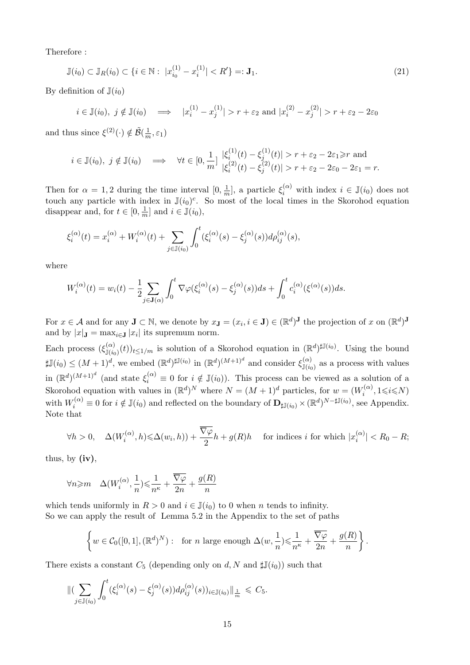Therefore :

$$
\mathbb{J}(i_0) \subset \mathbb{J}_R(i_0) \subset \{i \in \mathbb{N} : \ |x_{i_0}^{(1)} - x_i^{(1)}| < R'\} =: \mathbf{J}_1. \tag{21}
$$

By definition of  $\mathbb{J}(i_0)$ 

$$
i \in \mathbb{J}(i_0), \ j \notin \mathbb{J}(i_0) \implies |x_i^{(1)} - x_j^{(1)}| > r + \varepsilon_2 \text{ and } |x_i^{(2)} - x_j^{(2)}| > r + \varepsilon_2 - 2\varepsilon_0
$$

and thus since  $\xi^{(2)}(\cdot) \notin \tilde{\mathcal{B}}(\frac{1}{n})$  $\frac{1}{m}, \varepsilon_1)$ 

$$
i \in \mathbb{J}(i_0), \ j \notin \mathbb{J}(i_0) \implies \forall t \in [0, \frac{1}{m}] \ \begin{array}{l} |\xi_i^{(1)}(t) - \xi_j^{(1)}(t)| > r + \varepsilon_2 - 2\varepsilon_1 \geq r \text{ and} \\ |\xi_i^{(2)}(t) - \xi_j^{(2)}(t)| > r + \varepsilon_2 - 2\varepsilon_0 - 2\varepsilon_1 = r. \end{array}
$$

Then for  $\alpha = 1, 2$  during the time interval  $[0, \frac{1}{n}]$  $\frac{1}{m}$ , a particle  $\xi_i^{(\alpha)}$  with index  $i \in \mathbb{J}(i_0)$  does not touch any particle with index in  $\mathbb{J}(i_0)^c$ . So most of the local times in the Skorohod equation disappear and, for  $t \in [0, \frac{1}{n}]$  $\frac{1}{m}$  and  $i \in \mathbb{J}(i_0)$ ,

$$
\xi_i^{(\alpha)}(t) = x_i^{(\alpha)} + W_i^{(\alpha)}(t) + \sum_{j \in \mathbb{J}(i_0)} \int_0^t (\xi_i^{(\alpha)}(s) - \xi_j^{(\alpha)}(s)) d\rho_{ij}^{(\alpha)}(s),
$$

where

$$
W_i^{(\alpha)}(t) = w_i(t) - \frac{1}{2} \sum_{j \in \mathbf{J}(\alpha)} \int_0^t \nabla \varphi(\xi_i^{(\alpha)}(s) - \xi_j^{(\alpha)}(s)) ds + \int_0^t c_i^{(\alpha)}(\xi^{(\alpha)}(s)) ds.
$$

For  $x \in A$  and for any  $\mathbf{J} \subset \mathbb{N}$ , we denote by  $x_{\mathbf{J}} = (x_i, i \in \mathbf{J}) \in (\mathbb{R}^d)^{\mathbf{J}}$  the projection of x on  $(\mathbb{R}^d)^{\mathbf{J}}$ and by  $|x|_{\mathbf{J}} = \max_{i \in \mathbf{J}} |x_i|$  its supremum norm.

Each process  $(\xi_{\mathbb{J}(i_0)}^{(\alpha)}(t))_{t \leq 1/m}$  is solution of a Skorohod equation in  $(\mathbb{R}^d)^{\sharp\mathbb{J}(i_0)}$ . Using the bound  $\sharp\mathbb{J}(i_0) \leq (M+1)^d$ , we embed  $(\mathbb{R}^d)^{\sharp\mathbb{J}(i_0)}$  in  $(\mathbb{R}^d)^{(M+1)^d}$  and consider  $\xi_{\mathbb{J}(i_0)}^{(\alpha)}$  as a process with values in  $(\mathbb{R}^d)^{(M+1)^d}$  (and state  $\xi_i^{(\alpha)} \equiv 0$  for  $i \notin \mathbb{J}(i_0)$ ). This process can be viewed as a solution of a Skorohod equation with values in  $(\mathbb{R}^d)^N$  where  $N = (M+1)^d$  particles, for  $w = (W_i^{(\alpha)})^N$  $a_i^{(\alpha)}, 1 \leq i \leq N$ with  $W_i^{(\alpha)} \equiv 0$  for  $i \notin \mathbb{J}(i_0)$  and reflected on the boundary of  $\mathbf{D}_{\sharp \mathbb{J}(i_0)} \times (\mathbb{R}^d)^{N-\sharp \mathbb{J}(i_0)}$ , see Appendix. Note that

$$
\forall h > 0, \quad \Delta(W_i^{(\alpha)}, h) \leq \Delta(w_i, h)) + \frac{\overline{\nabla \varphi}}{2} h + g(R)h \quad \text{ for indices } i \text{ for which } |x_i^{(\alpha)}| < R_0 - R;
$$

thus, by  $(iv)$ ,

$$
\forall n\!\geqslant\! m \quad \Delta(W^{(\alpha)}_i,\frac{1}{n})\!\leqslant\!\frac{1}{n^\kappa}+\frac{\overline{\nabla\varphi}}{2n}+\frac{g(R)}{n}
$$

which tends uniformly in  $R > 0$  and  $i \in J(i_0)$  to 0 when n tends to infinity. So we can apply the result of Lemma 5.2 in the Appendix to the set of paths

$$
\left\{w\in \mathcal{C}_0([0,1],(\mathbb{R}^d)^N):\ \text{ for } n \text{ large enough } \Delta(w,\frac{1}{n})\leqslant \frac{1}{n^\kappa}+\frac{\overline{\nabla \varphi}}{2n}+\frac{g(R)}{n}\right\}.
$$

There exists a constant  $C_5$  (depending only on d, N and  $\sharp \mathbb{J}(i_0)$ ) such that

$$
\|\left(\sum_{j\in\mathbb{J}(i_0)}\int_0^t(\xi_i^{(\alpha)}(s)-\xi_j^{(\alpha)}(s))d\rho_{ij}^{(\alpha)}(s))_{i\in\mathbb{J}(i_0)}\|\mathbf{1}_{\frac{1}{m}}\leq C_5.
$$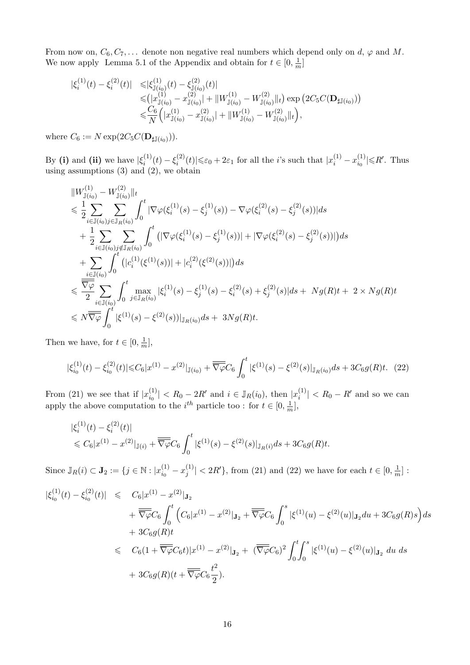From now on,  $C_6, C_7, \ldots$  denote non negative real numbers which depend only on d,  $\varphi$  and M. We now apply Lemma 5.1 of the Appendix and obtain for  $t \in [0, \frac{1}{n}]$  $\frac{1}{m}$ ]

$$
\begin{split} |\xi_i^{(1)}(t) - \xi_i^{(2)}(t)| &\leq |\xi_{\mathbb{J}(i_0)}^{(1)}(t) - \xi_{\mathbb{J}(i_0)}^{(2)}(t)| \\ &\leq (|x_{\mathbb{J}(i_0)}^{(1)} - x_{\mathbb{J}(i_0)}^{(2)}| + \|W_{\mathbb{J}(i_0)}^{(1)} - W_{\mathbb{J}(i_0)}^{(2)}\|_t) \exp\left(2C_5C(\mathbf{D}_{\sharp\mathbb{J}(i_0)})\right) \\ &\leqslant \frac{C_6}{N} \Big(|x_{\mathbb{J}(i_0)}^{(1)} - x_{\mathbb{J}(i_0)}^{(2)}| + \|W_{\mathbb{J}(i_0)}^{(1)} - W_{\mathbb{J}(i_0)}^{(2)}\|_t\Big), \end{split}
$$

where  $C_6 := N \exp(2C_5 C(\mathbf{D}_{\sharp \mathbb{J}(i_0)})).$ 

By (i) and (ii) we have  $|\xi_i^{(1)}\rangle$  $\xi_i^{(1)}(t) - \xi_i^{(2)}$  $\sum_{i=1}^{(2)}(t)|\leqslant\varepsilon_0+2\varepsilon_1$  for all the *i*'s such that  $|x_i^{(1)}-x_{i_0}^{(1)}|$  $\left|\mathcal{L}\right|_{i_0}^{(1)}\leq R'.$  Thus using assumptions (3) and (2), we obtain

$$
\|W_{\mathbb{J}(i_{0})}^{(1)} - W_{\mathbb{J}(i_{0})}^{(2)}\|_{t} \n\leq \frac{1}{2} \sum_{i \in \mathbb{J}(i_{0})} \sum_{j \in \mathbb{J}_{R}(i_{0})} \int_{0}^{t} |\nabla \varphi(\xi_{i}^{(1)}(s) - \xi_{j}^{(1)}(s)) - \nabla \varphi(\xi_{i}^{(2)}(s) - \xi_{j}^{(2)}(s))| ds \n+ \frac{1}{2} \sum_{i \in \mathbb{J}(i_{0})} \sum_{j \notin \mathbb{J}_{R}(i_{0})} \int_{0}^{t} (|\nabla \varphi(\xi_{i}^{(1)}(s) - \xi_{j}^{(1)}(s))| + |\nabla \varphi(\xi_{i}^{(2)}(s) - \xi_{j}^{(2)}(s))|) ds \n+ \sum_{i \in \mathbb{J}(i_{0})} \int_{0}^{t} (|c_{i}^{(1)}(\xi^{(1)}(s))| + |c_{i}^{(2)}(\xi^{(2)}(s))|) ds \n\leq \frac{\overline{\nabla \varphi}}{2} \sum_{i \in \mathbb{J}(i_{0})} \int_{0}^{t} \max_{j \in \mathbb{J}_{R}(i_{0})} |\xi_{i}^{(1)}(s) - \xi_{j}^{(1)}(s) - \xi_{i}^{(2)}(s) + \xi_{j}^{(2)}(s)| ds + Ng(R)t + 2 \times Ng(R)t \n\leq N \overline{\overline{\nabla \varphi}} \int_{0}^{t} |\xi^{(1)}(s) - \xi^{(2)}(s))|_{\mathbb{J}_{R}(i_{0})} ds + 3Ng(R)t.
$$

Then we have, for  $t \in [0, \frac{1}{n}]$  $\frac{1}{m}$ ,

$$
|\xi_{i_0}^{(1)}(t) - \xi_{i_0}^{(2)}(t)| \leq C_6 |x^{(1)} - x^{(2)}|_{\mathbb{J}(i_0)} + \overline{\nabla \varphi} C_6 \int_0^t |\xi^{(1)}(s) - \xi^{(2)}(s)|_{\mathbb{J}_R(i_0)} ds + 3C_6 g(R)t. \tag{22}
$$

From (21) we see that if  $|x_{i_0}^{(1)}|$  $\vert i_0^{(1)} \vert < R_0 - 2R'$  and  $i \in \mathbb{J}_R(i_0)$ , then  $\vert x_i^{(1)} \vert$  $\binom{1}{i}$  |  $\lt R_0 - R'$  and so we can apply the above computation to the  $i^{th}$  particle too : for  $t \in [0, \frac{1}{n}]$  $\frac{1}{m}$ ,

$$
|\xi_i^{(1)}(t) - \xi_i^{(2)}(t)|
$$
  
\$\leq C\_6 |x^{(1)} - x^{(2)}|\_{\mathbb{J}(i)} + \overline{\nabla \varphi} C\_6 \int\_0^t |\xi^{(1)}(s) - \xi^{(2)}(s)|\_{\mathbb{J}\_R(i)} ds + 3C\_6 g(R)t.\$

Since  $\mathbb{J}_R(i) \subset \mathbf{J}_2 := \{j \in \mathbb{N} : |x_{i_0}^{(1)}\rangle\}$  $\binom{11}{i_0}-x_j^{(1)}$  $\binom{1}{j}$  < 2R'}, from (21) and (22) we have for each  $t \in [0, \frac{1}{n}]$  $\frac{1}{m}$ :

$$
\begin{split}\n|\xi_{i_0}^{(1)}(t) - \xi_{i_0}^{(2)}(t)| &\leq U_6|x^{(1)} - x^{(2)}|_{\mathbf{J}_2} \\
&\quad + \overline{\nabla\varphi}C_6 \int_0^t \left( C_6|x^{(1)} - x^{(2)}|_{\mathbf{J}_2} + \overline{\nabla\varphi}C_6 \int_0^s |\xi^{(1)}(u) - \xi^{(2)}(u)|_{\mathbf{J}_2} du + 3C_6g(R)s \right) ds \\
&\quad + 3C_6g(R)t \\
&\leq U_6(1 + \overline{\nabla\varphi}C_6t)|x^{(1)} - x^{(2)}|_{\mathbf{J}_2} + (\overline{\nabla\varphi}C_6)^2 \int_0^t \int_0^s |\xi^{(1)}(u) - \xi^{(2)}(u)|_{\mathbf{J}_2} du ds \\
&\quad + 3C_6g(R)(t + \overline{\nabla\varphi}C_6\frac{t^2}{2}).\n\end{split}
$$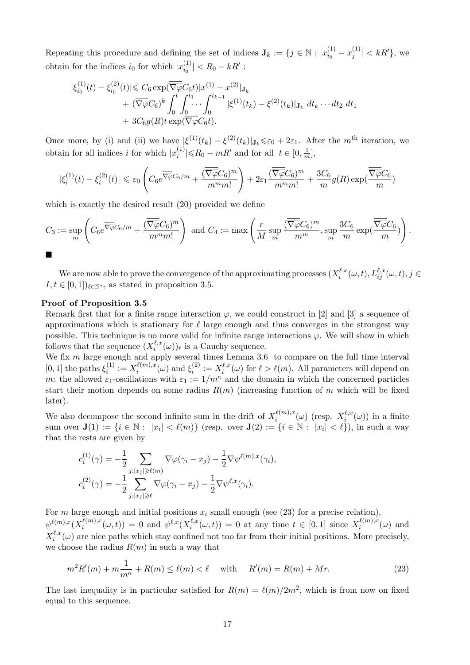Repeating this procedure and defining the set of indices  $J_k := \{j \in \mathbb{N} : |x_{i_0}^{(1)}|$  $\binom{(1)}{i_0}-x_j^{(1)}$  $|j^{(1)}| < kR'\},$  we obtain for the indices  $i_0$  for which  $|x_{i_0}^{(1)}|$  $\binom{1}{i_0} < R_0 - kR'$ :

$$
\begin{split} |\xi_{i_0}^{(1)}(t) - \xi_{i_0}^{(2)}(t)| &\leq C_6 \exp(\overline{\overline{\nabla \varphi}} C_6 t) |x^{(1)} - x^{(2)}| \mathbf{J}_k \\ &+ (\overline{\overline{\nabla \varphi}} C_6)^k \int_0^t \int_{\underline{0}}^{t_1} \cdots \int_0^{t_{k-1}} |\xi^{(1)}(t_k) - \xi^{(2)}(t_k)| \mathbf{J}_k \ dt_k \cdots dt_2 \ dt_1 \\ &+ 3C_6 g(R) t \exp(\overline{\nabla \varphi} C_6 t). \end{split}
$$

Once more, by (i) and (ii) we have  $|\xi^{(1)}(t_k) - \xi^{(2)}(t_k)|_{\mathbf{J}_k} \leq \varepsilon_0 + 2\varepsilon_1$ . After the m<sup>th</sup> iteration, we obtain for all indices i for which  $|x_i^{(1)}\rangle$  $\binom{1}{i}$  |  $\leq R_0 - mR'$  and for all  $t \in [0, \frac{1}{m}]$  $\frac{1}{m}$ ,

$$
|\xi_i^{(1)}(t) - \xi_i^{(2)}(t)| \le \varepsilon_0 \left( C_6 e^{\overline{\nabla \varphi} C_6/m} + \frac{(\overline{\nabla \varphi} C_6)^m}{m^m m!} \right) + 2\varepsilon_1 \frac{(\overline{\nabla \varphi} C_6)^m}{m^m m!} + \frac{3C_6}{m} g(R) \exp(\frac{\overline{\nabla \varphi} C_6}{m})
$$

which is exactly the desired result  $(20)$  provided we define

$$
C_3 := \sup_m \left( C_6 e^{\overline{\overline{\nabla \varphi}} C_6/m} + \frac{(\overline{\overline{\nabla \varphi}} C_6)^m}{m^m m!} \right) \text{ and } C_4 := \max \left( \frac{r}{M} \sup_m \frac{(\overline{\overline{\nabla \varphi}} C_6)^m}{m^m}, \sup_m \frac{3C_6}{m} \exp(\frac{\overline{\overline{\nabla \varphi}} C_6}{m}) \right).
$$

We are now able to prove the convergence of the approximating processes  $(X_i^{\ell,x})$  $\iota_i^{\ell,x}(\omega,t), L_{ij}^{\ell,x}(\omega,t), j\in$  $I, t \in [0, 1]$ <sub> $\ell \in \mathbb{N}^*$ </sub>, as stated in proposition 3.5.

#### Proof of Proposition 3.5

Remark first that for a finite range interaction  $\varphi$ , we could construct in [2] and [3] a sequence of approximations which is stationary for  $\ell$  large enough and thus converges in the strongest way possible. This technique is no more valid for infinite range interactions  $\varphi$ . We will show in which follows that the sequence  $(X_i^{\ell,x})$  $\ell_i^{\ell,x}(\omega)\ell$  is a Cauchy sequence.

We fix m large enough and apply several times Lemma 3.6 to compare on the full time interval [0, 1] the paths  $\xi_i^{(1)}$  $x_i^{(1)} := X_i^{\ell(m),x}$  $\frac{\ell(m),x}{i}(\omega)$  and  $\xi_i^{(2)}$  $\mathcal{X}_i^{(2)}:=X_i^{\ell,x}$  $\ell_i^{,\ell,x}(\omega)$  for  $\ell > \ell(m)$ . All parameters will depend on m: the allowed  $\varepsilon_1$ -oscillations with  $\varepsilon_1 := 1/m^{\kappa}$  and the domain in which the concerned particles start their motion depends on some radius  $R(m)$  (increasing function of m which will be fixed later).

We also decompose the second infinite sum in the drift of  $X_i^{\ell(m),x}$  $\int_i^{\ell(m),x} (\omega)$  (resp.  $X_i^{\ell,x}$  $i^{*,x}(\omega)$  in a finite sum over  $\mathbf{J}(1) := \{i \in \mathbb{N} : |x_i| < \ell(m)\}$  (resp. over  $\mathbf{J}(2) := \{i \in \mathbb{N} : |x_i| < \ell\}$ ), in such a way that the rests are given by

$$
c_i^{(1)}(\gamma) = -\frac{1}{2} \sum_{j:|x_j| \geq \ell(m)} \nabla \varphi(\gamma_i - x_j) - \frac{1}{2} \nabla \psi^{\ell(m),x}(\gamma_i),
$$
  

$$
c_i^{(2)}(\gamma) = -\frac{1}{2} \sum_{j:|x_j| \geq \ell} \nabla \varphi(\gamma_i - x_j) - \frac{1}{2} \nabla \psi^{\ell,x}(\gamma_i).
$$

For m large enough and initial positions  $x_i$  small enough (see (23) for a precise relation),  $\psi^{\ell(m),x}(X_i^{\ell(m),x}% ,\mathcal{C}_{i}^{\ell(m),x})$  $\psi_i^{\ell(m),x}(\omega, t)) = 0$  and  $\psi^{\ell,x}(X_i^{\ell,x})$  $\mathcal{L}^{\ell,x}_i(\omega,t)) = 0$  at any time  $t \in [0,1]$  since  $X_i^{\ell(m),x}$  $i^{(m),x}(\omega)$  and  $X_i^{\ell,x}$  $\binom{\ell, x}{i}(\omega)$  are nice paths which stay confined not too far from their initial positions. More precisely, we choose the radius  $R(m)$  in such a way that

$$
m^2 R'(m) + m \frac{1}{m^{\kappa}} + R(m) \le \ell(m) < \ell \quad \text{with} \quad R'(m) = R(m) + Mr.
$$
 (23)

The last inequality is in particular satisfied for  $R(m) = \ell(m)/2m^2$ , which is from now on fixed equal to this sequence.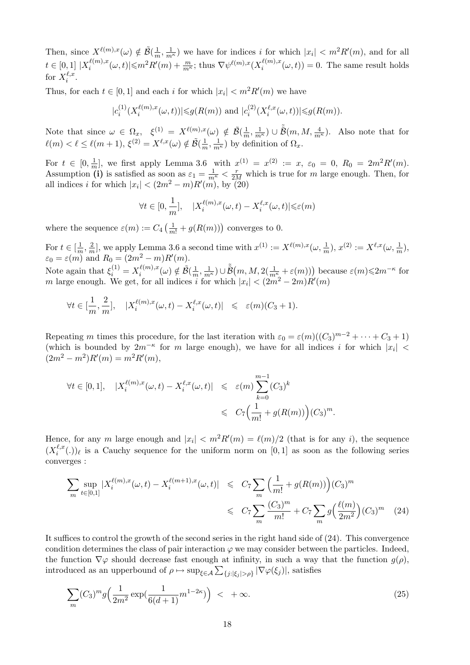Then, since  $X^{\ell(m),x}(\omega) \notin \tilde{\mathcal{B}}(\frac{1}{m})$  $\frac{1}{m}, \frac{1}{m^{\kappa}}$  we have for indices i for which  $|x_i| < m^2 R'(m)$ , and for all  $t \in [0,1] \; |X_i^{\ell(m),x}$  $\mathcal{L}_{i}^{(\ell(m),x}(\omega,t)| \leqslant m^2 R'(m) + \frac{m}{m^{\kappa}}$ ; thus  $\nabla \psi^{\ell(m),x}(X_i^{\ell(m),x})$  $i_i^{(m),x}(\omega, t)$  = 0. The same result holds for  $X_i^{\ell,x}$  $\frac{\ell}{i}$ .

Thus, for each  $t \in [0,1]$  and each i for which  $|x_i| < m^2 R'(m)$  we have

$$
|c_i^{(1)}(X_i^{\ell(m),x}(\omega,t))| \leq g(R(m))
$$
 and  $|c_i^{(2)}(X_i^{\ell,x}(\omega,t))| \leq g(R(m)).$ 

Note that since  $\omega \in \Omega_x$ ,  $\xi^{(1)} = X^{\ell(m),x}(\omega) \notin \tilde{\mathcal{B}}(\frac{1}{n})$  $(\frac{1}{m}, \frac{1}{m^{\kappa}}) \cup \tilde{\tilde{\mathcal{B}}}(m, M, \frac{4}{m^{\kappa}})$ . Also note that for  $\ell(m) < \ell \leq \ell(m+1), \, \xi^{(2)} = X^{\ell,x}(\omega) \notin \tilde{\mathcal{B}}(\frac{1}{m})$  $\frac{1}{m}, \frac{1}{m^{\kappa}}$ ) by definition of  $\Omega_x$ .

For  $t \in [0, \frac{1}{n}]$  $\frac{1}{m}$ , we first apply Lemma 3.6 with  $x^{(1)} = x^{(2)} := x$ ,  $\varepsilon_0 = 0$ ,  $R_0 = 2m^2 R'(m)$ . Assumption (i) is satisfied as soon as  $\varepsilon_1 = \frac{1}{m^{\kappa}} < \frac{r}{2M}$  which is true for m large enough. Then, for all indices *i* for which  $|x_i| < (2m^2 - m)R'(m)$ , by (20)

$$
\forall t \in [0, \frac{1}{m}], \quad |X_i^{\ell(m),x}(\omega, t) - X_i^{\ell,x}(\omega, t)| \leq \varepsilon(m)
$$

where the sequence  $\varepsilon(m) := C_4 \left( \frac{1}{m!} + g(R(m)) \right)$  converges to 0.

For  $t \in \left[\frac{1}{n}\right]$  $\frac{1}{m}, \frac{2}{m}$  $\frac{2}{m}$ , we apply Lemma 3.6 a second time with  $x^{(1)} := X^{\ell(m),x}(\omega, \frac{1}{m}), x^{(2)} := X^{\ell,x}(\omega, \frac{1}{m}),$  $\varepsilon_0 = \varepsilon(m)$  and  $R_0 = (2m^2 - m)R'(m)$ .

Note again that  $\xi_i^{(1)} = X_i^{\ell(m),x}$  $\frac{\ell(m),x}{i}(\omega) \notin \tilde{\mathcal{B}}(\frac{1}{m})$  $(\frac{1}{m}, \frac{1}{m^{\kappa}}) \cup \tilde{B}(m, M, 2(\frac{1}{m^{\kappa}} + \varepsilon(m)))$  because  $\varepsilon(m) \leq 2m^{-\kappa}$  for m large enough. We get, for all indices i for which  $|x_i| < (2m^2 - 2m)R'(m)$ 

$$
\forall t \in [\frac{1}{m}, \frac{2}{m}], \quad |X_i^{\ell(m), x}(\omega, t) - X_i^{\ell, x}(\omega, t)| \leq \varepsilon(m)(C_3 + 1).
$$

Repeating m times this procedure, for the last iteration with  $\varepsilon_0 = \varepsilon(m)((C_3)^{m-2} + \cdots + C_3 + 1)$ (which is bounded by  $2m^{-\kappa}$  for m large enough), we have for all indices i for which  $|x_i|$  <  $(2m^2 - m^2)R'(m) = m^2R'(m),$ 

$$
\forall t \in [0,1], \quad |X_i^{\ell(m),x}(\omega,t) - X_i^{\ell,x}(\omega,t)| \leq \varepsilon(m) \sum_{k=0}^{m-1} (C_3)^k
$$
  

$$
\leq C_7 \Big(\frac{1}{m!} + g(R(m))\Big)(C_3)^m.
$$

Hence, for any m large enough and  $|x_i| < m^2 R'(m) = \ell(m)/2$  (that is for any i), the sequence  $(X_i^{\ell,x})$  $\binom{\ell, x}{i}$  is a Cauchy sequence for the uniform norm on [0, 1] as soon as the following series converges :

$$
\sum_{m} \sup_{t \in [0,1]} |X_i^{\ell(m),x}(\omega, t) - X_i^{\ell(m+1),x}(\omega, t)| \leq C_7 \sum_{m} \left(\frac{1}{m!} + g(R(m))\right) (C_3)^m
$$
  

$$
\leq C_7 \sum_{m} \frac{(C_3)^m}{m!} + C_7 \sum_{m} g\left(\frac{\ell(m)}{2m^2}\right) (C_3)^m \tag{24}
$$

It suffices to control the growth of the second series in the right hand side of (24). This convergence condition determines the class of pair interaction  $\varphi$  we may consider between the particles. Indeed, the function  $\nabla \varphi$  should decrease fast enough at infinity, in such a way that the function  $g(\rho)$ , introduced as an upperbound of  $\rho \mapsto \sup_{\xi \in \mathcal{A}} \sum_{\{j : |\xi_j| > \rho\}} |\nabla \varphi(\xi_j)|$ , satisfies

$$
\sum_{m} (C_3)^m g\Big(\frac{1}{2m^2} \exp\left(\frac{1}{6(d+1)} m^{1-2\kappa}\right)\Big) \leq +\infty. \tag{25}
$$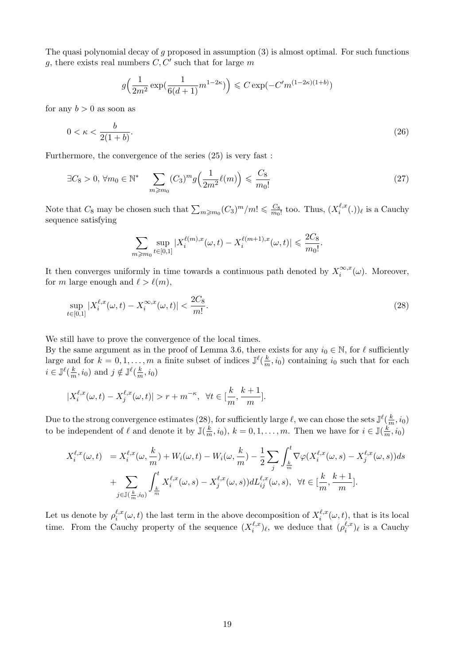The quasi polynomial decay of  $g$  proposed in assumption  $(3)$  is almost optimal. For such functions g, there exists real numbers  $C, C'$  such that for large m

$$
g\left(\frac{1}{2m^2}\exp\left(\frac{1}{6(d+1)}m^{1-2\kappa}\right)\right) \leq C\exp(-C'm^{(1-2\kappa)(1+b)})
$$

for any  $b > 0$  as soon as

$$
0 < \kappa < \frac{b}{2(1+b)}.\tag{26}
$$

Furthermore, the convergence of the series (25) is very fast :

$$
\exists C_8 > 0, \forall m_0 \in \mathbb{N}^* \quad \sum_{m \ge m_0} (C_3)^m g\Big(\frac{1}{2m^2} \ell(m)\Big) \leqslant \frac{C_8}{m_0!} \tag{27}
$$

Note that  $C_8$  may be chosen such that  $\sum_{m \geqslant m_0} (C_3)^m/m! \leqslant \frac{C_8}{m_0}$  $\frac{C_8}{m_0!}$  too. Thus,  $(X_i^{\ell,x})$  $\binom{\ell, x}{i}$  (.))  $\ell$  is a Cauchy sequence satisfying

$$
\sum_{m \geq m_0} \sup_{t \in [0,1]} |X_i^{\ell(m),x}(\omega,t) - X_i^{\ell(m+1),x}(\omega,t)| \leq \frac{2C_8}{m_0!}.
$$

It then converges uniformly in time towards a continuous path denoted by  $X_i^{\infty,x}$  $\int_i^{\infty,x} (\omega)$ . Moreover, for m large enough and  $\ell > \ell(m)$ ,

$$
\sup_{t \in [0,1]} |X_i^{\ell,x}(\omega, t) - X_i^{\infty,x}(\omega, t)| < \frac{2C_8}{m!}.\tag{28}
$$

We still have to prove the convergence of the local times.

By the same argument as in the proof of Lemma 3.6, there exists for any  $i_0 \in \mathbb{N}$ , for  $\ell$  sufficiently large and for  $k = 0, 1, ..., m$  a finite subset of indices  $\mathbb{J}^{\ell}(\frac{k}{n})$  $\frac{k}{m}$ , i<sub>0</sub>) containing i<sub>0</sub> such that for each  $i \in \mathbb{J}^{\ell}(\frac{k}{n})$  $(\frac{k}{m}, i_0)$  and  $j \notin \mathbb{J}^{\ell}(\frac{k}{m})$  $\frac{k}{m}$ ,  $i_0$ )

$$
|X_i^{\ell,x}(\omega,t) - X_j^{\ell,x}(\omega,t)| > r + m^{-\kappa}, \ \ \forall t \in [\frac{k}{m},\frac{k+1}{m}].
$$

Due to the strong convergence estimates (28), for sufficiently large  $\ell$ , we can chose the sets  $\mathbb{J}^{\ell}(\frac{k}{n})$  $\frac{k}{m}, i_0)$ to be independent of  $\ell$  and denote it by  $\mathbb{J}(\frac{k}{m})$  $\frac{k}{m}, i_0$ ,  $k = 0, 1, ..., m$ . Then we have for  $i \in \mathbb{J}(\frac{k}{m})$  $\frac{k}{m}, i_0)$ 

$$
X_i^{\ell,x}(\omega,t) = X_i^{\ell,x}(\omega,\frac{k}{m}) + W_i(\omega,t) - W_i(\omega,\frac{k}{m}) - \frac{1}{2} \sum_j \int_{\frac{k}{m}}^t \nabla \varphi(X_i^{\ell,x}(\omega,s) - X_j^{\ell,x}(\omega,s))ds
$$
  
+ 
$$
\sum_{j \in \mathbb{J}(\frac{k}{m},i_0)} \int_{\frac{k}{m}}^t X_i^{\ell,x}(\omega,s) - X_j^{\ell,x}(\omega,s))dL_{ij}^{\ell,x}(\omega,s), \quad \forall t \in [\frac{k}{m},\frac{k+1}{m}].
$$

Let us denote by  $\rho_i^{\ell,x}$  $\int_{i}^{\ell,x}(\omega,t)$  the last term in the above decomposition of  $X_i^{\ell,x}$  $i^{t,x}(\omega, t)$ , that is its local time. From the Cauchy property of the sequence  $(X_i^{\ell,x})$  $(\ell, x)$ <sub>i</sub>, we deduce that  $(\rho_i^{\ell, x})$  $\binom{\ell,x}{i}$  is a Cauchy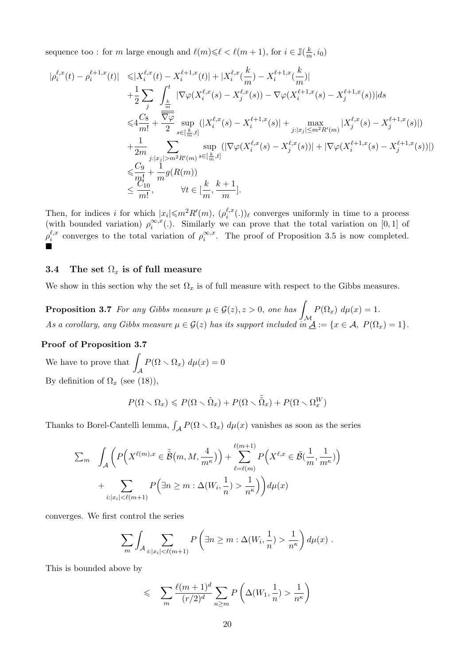sequence too : for m large enough and  $\ell(m) \leq \ell < \ell(m + 1)$ , for  $i \in \mathbb{J}(\frac{k}{m})$  $\frac{k}{m}, i_0)$ 

$$
\begin{split} |\rho^{\ell,x}_i(t) - \rho^{\ell+1,x}_i(t)| &\leqslant& |X^{\ell,x}_i(t) - X^{\ell+1,x}_i(t)| + |X^{\ell,x}_i(\frac{k}{m}) - X^{\ell+1,x}_i(\frac{k}{m})| \\ &+ \frac{1}{2} \sum_j \int_{\frac{k}{m}}^t |\nabla \varphi(X^{\ell,x}_i(s) - X^{\ell,x}_j(s)) - \nabla \varphi(X^{\ell+1,x}_i(s) - X^{\ell+1,x}_j(s))| ds \\ &\leqslant& \frac{C_8}{m!} + \frac{\overline{\nabla \varphi}}{2} \sup_{s \in [\frac{k}{m},t]} (|X^{\ell,x}_i(s) - X^{\ell+1,x}_i(s)| + \max_{j:|x_j| \leq m^2 R'(m)} |X^{\ell,x}_j(s) - X^{\ell+1,x}_j(s)|) \\ &+ \frac{1}{2m} \sum_{j:|x_j| > m^2 R'(m)} \sup_{s \in [\frac{k}{m},t]} (|\nabla \varphi(X^{\ell,x}_i(s) - X^{\ell,x}_j(s))| + |\nabla \varphi(X^{\ell+1,x}_i(s) - X^{\ell+1,x}_j(s))|) \\ &\leqslant \frac{C_9}{m!} + \frac{1}{m} g(R(m)) \\ &\leqslant \frac{C_1}{m!}, \qquad \forall t \in [\frac{k}{m},\frac{k+1}{m}]. \end{split}
$$

Then, for indices i for which  $|x_i| \leq m^2 R'(m)$ ,  $(\rho_i^{\ell,x})$  $\binom{\ell, x}{i}$ .)) converges uniformly in time to a process (with bounded variation)  $\rho_i^{\infty,x}$  $\sum_{i}^{\infty}$ . Similarly we can prove that the total variation on [0, 1] of  $\rho^{\ell,x}_i$  $\int_{i}^{\ell,x}$  converges to the total variation of  $\rho_i^{\infty,x}$  $\sum_{i}^{\infty}$ . The proof of Proposition 3.5 is now completed. Ď

## 3.4 The set  $\Omega_x$  is of full measure

We show in this section why the set  $\Omega_x$  is of full measure with respect to the Gibbs measures.

**Proposition 3.7** For any Gibbs measure  $\mu \in \mathcal{G}(z), z > 0$ , one has  $\mathcal M$  $P(\Omega_x) d\mu(x) = 1.$ As a corollary, any Gibbs measure  $\mu \in \mathcal{G}(z)$  has its support included in  $\underline{\mathcal{A}} := \{x \in \mathcal{A}, P(\Omega_x) = 1\}.$ 

## Proof of Proposition 3.7

We have to prove that  $\overline{\phantom{a}}$  $\mathcal A$  $P(\Omega \setminus \Omega_x) d\mu(x) = 0$ By definition of  $\Omega_x$  (see (18)),

$$
P(\Omega \setminus \Omega_x) \leqslant P(\Omega \setminus \tilde{\Omega}_x) + P(\Omega \setminus \tilde{\tilde{\Omega}}_x) + P(\Omega \setminus \Omega_x^W)
$$

Thanks to Borel-Cantelli lemma,  $\int_{\mathcal{A}} P(\Omega \setminus \Omega_x) d\mu(x)$  vanishes as soon as the series

$$
\sum_{m} \int_{\mathcal{A}} \left( P\left(X^{\ell(m),x} \in \tilde{\tilde{\mathcal{B}}}(m,M,\frac{4}{m^{\kappa}})\right) + \sum_{\ell=\ell(m)}^{\ell(m+1)} P\left(X^{\ell,x} \in \tilde{\mathcal{B}}(\frac{1}{m},\frac{1}{m^{\kappa}})\right) + \sum_{i:|x_i| < \ell(m+1)} P\left(\exists n \ge m : \Delta(W_i,\frac{1}{n}) > \frac{1}{n^{\kappa}}\right) \right) d\mu(x)
$$

converges. We first control the series

$$
\sum_{m} \int_{\mathcal{A}} \sum_{i: |x_i| < \ell(m+1)} P\left(\exists n \ge m : \Delta(W_i, \frac{1}{n}) > \frac{1}{n^{\kappa}}\right) d\mu(x) \; .
$$

This is bounded above by

$$
\leq \sum_{m} \frac{\ell(m+1)^d}{(r/2)^d} \sum_{n \geq m} P\left(\Delta(W_1, \frac{1}{n}) > \frac{1}{n^{\kappa}}\right)
$$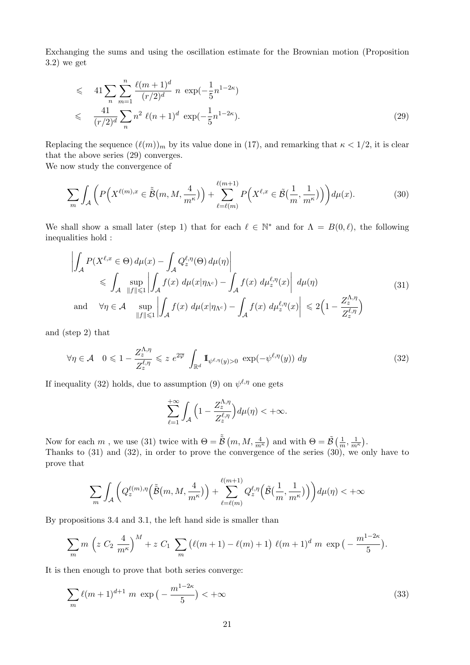Exchanging the sums and using the oscillation estimate for the Brownian motion (Proposition 3.2) we get

$$
\leqslant 41 \sum_{n} \sum_{m=1}^{n} \frac{\ell(m+1)^d}{(r/2)^d} n \exp(-\frac{1}{5}n^{1-2\kappa})
$$
  

$$
\leqslant \frac{41}{(r/2)^d} \sum_{n} n^2 \ell(n+1)^d \exp(-\frac{1}{5}n^{1-2\kappa}).
$$
 (29)

Replacing the sequence  $(\ell(m))_m$  by its value done in (17), and remarking that  $\kappa < 1/2$ , it is clear that the above series (29) converges.

We now study the convergence of

$$
\sum_{m} \int_{\mathcal{A}} \left( P\left(X^{\ell(m),x} \in \tilde{\tilde{\mathcal{B}}}(m,M,\frac{4}{m^{\kappa}})\right) + \sum_{\ell=\ell(m)}^{\ell(m+1)} P\left(X^{\ell,x} \in \tilde{\mathcal{B}}(\frac{1}{m},\frac{1}{m^{\kappa}})\right) \right) d\mu(x). \tag{30}
$$

We shall show a small later (step 1) that for each  $\ell \in \mathbb{N}^*$  and for  $\Lambda = B(0, \ell)$ , the following inequalities hold :

$$
\left| \int_{\mathcal{A}} P(X^{\ell,x} \in \Theta) d\mu(x) - \int_{\mathcal{A}} Q^{\ell,\eta}_{z}(\Theta) d\mu(\eta) \right|
$$
\n
$$
\leqslant \int_{\mathcal{A}} \sup_{\|f\| \leqslant 1} \left| \int_{\mathcal{A}} f(x) d\mu(x|\eta_{\Lambda^c}) - \int_{\mathcal{A}} f(x) d\mu^{\ell,\eta}_{z}(x) \right| d\mu(\eta)
$$
\nand\n
$$
\forall \eta \in \mathcal{A} \sup_{\|f\| \leqslant 1} \left| \int_{\mathcal{A}} f(x) d\mu(x|\eta_{\Lambda^c}) - \int_{\mathcal{A}} f(x) d\mu^{\ell,\eta}_{z}(x) \right| \leqslant 2\left(1 - \frac{Z^{\Lambda,\eta}_{z}}{Z^{\ell,\eta}_{z}}\right)
$$
\n(31)

and (step 2) that

$$
\forall \eta \in \mathcal{A} \quad 0 \leq 1 - \frac{Z_z^{\Lambda, \eta}}{Z_z^{\ell, \eta}} \leq z \ e^{2\overline{\varphi}} \ \int_{\mathbb{R}^d} \mathbb{I}_{\psi^{\ell, \eta}(y) > 0} \ \exp(-\psi^{\ell, \eta}(y)) \ dy \tag{32}
$$

If inequality (32) holds, due to assumption (9) on  $\psi^{\ell,\eta}$  one gets

$$
\sum_{\ell=1}^{+\infty} \int_{\mathcal{A}} \Big(1 - \frac{Z_z^{\Lambda,\eta}}{Z_z^{\ell,\eta}}\Big) d\mu(\eta) < +\infty.
$$

Now for each  $m$  , we use (31) twice with  $\Theta = \tilde{\tilde{B}}\left(m, M, \frac{4}{m^{\kappa}}\right)$  and with  $\Theta = \tilde{\mathcal{B}}\left(\frac{1}{m}\right)$  $\frac{1}{m}, \frac{1}{m^{\kappa}}$ . Thanks to (31) and (32), in order to prove the convergence of the series (30), we only have to prove that

$$
\sum_{m} \int_{\mathcal{A}} \bigg( Q^{\ell(m),\eta}_z \Big( \tilde{\tilde{\mathcal{B}}}\big(m, M, \frac{4}{m^{\kappa}} \big) \Big) + \sum_{\ell=\ell(m)}^{\ell(m+1)} Q^{\ell,\eta}_z \Big( \tilde{\mathcal{B}}\big(\frac{1}{m}, \frac{1}{m^{\kappa}} \big) \Big) \bigg) d\mu(\eta) < +\infty
$$

By propositions 3.4 and 3.1, the left hand side is smaller than

$$
\sum_{m} m \left( z C_2 \frac{4}{m^{\kappa}} \right)^M + z C_1 \sum_{m} \left( \ell(m+1) - \ell(m) + 1 \right) \ell(m+1)^d m \exp \left( - \frac{m^{1-2\kappa}}{5} \right).
$$

It is then enough to prove that both series converge:

$$
\sum_{m} \ell(m+1)^{d+1} m \exp\left(-\frac{m^{1-2\kappa}}{5}\right) < +\infty \tag{33}
$$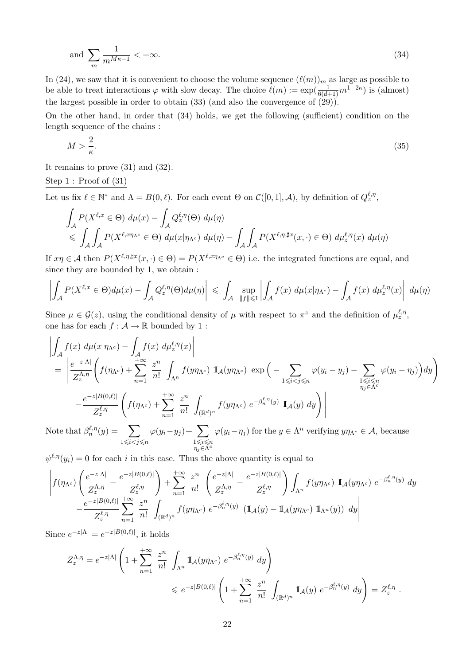and 
$$
\sum_{m} \frac{1}{m^{M\kappa - 1}} < +\infty. \tag{34}
$$

In (24), we saw that it is convenient to choose the volume sequence  $(\ell(m))_m$  as large as possible to be able to treat interactions  $\varphi$  with slow decay. The choice  $\ell(m) := \exp(\frac{1}{6(d+1)}m^{1-2\kappa})$  is (almost) the largest possible in order to obtain (33) (and also the convergence of (29)).

On the other hand, in order that (34) holds, we get the following (sufficient) condition on the length sequence of the chains :

$$
M > \frac{2}{\kappa}.\tag{35}
$$

It remains to prove (31) and (32).

### Step 1 : Proof of (31)

Let us fix  $\ell \in \mathbb{N}^*$  and  $\Lambda = B(0, \ell)$ . For each event  $\Theta$  on  $\mathcal{C}([0, 1], \mathcal{A})$ , by definition of  $Q_z^{\ell, \eta}$ ,

$$
\int_{A} P(X^{\ell,x} \in \Theta) d\mu(x) - \int_{A} Q_z^{\ell,\eta}(\Theta) d\mu(\eta)
$$
\n
$$
\leqslant \int_{A} \int_{A} P(X^{\ell,x\eta_{\Lambda^c}} \in \Theta) d\mu(x|\eta_{\Lambda^c}) d\mu(\eta) - \int_{A} \int_{A} P(X^{\ell,\eta,\sharp x}(x,\cdot) \in \Theta) d\mu_z^{\ell,\eta}(x) d\mu(\eta)
$$

If  $x\eta \in A$  then  $P(X^{\ell,\eta,\sharp x}(x,\cdot)\in \Theta) = P(X^{\ell,x\eta\Lambda^c}\in \Theta)$  i.e. the integrated functions are equal, and since they are bounded by 1, we obtain :

$$
\left|\int_{\mathcal{A}} P(X^{\ell,x}\in\Theta)d\mu(x)-\int_{\mathcal{A}} Q^{\ell,\eta}_z(\Theta)d\mu(\eta)\right|\,\leqslant\,\int_{\mathcal{A}}\ \sup_{\|f\|\leqslant 1}\left|\int_{\mathcal{A}} f(x)\ d\mu(x|\eta_{\Lambda^c})-\int_{\mathcal{A}} f(x)\ d\mu^{\ell,\eta}_z(x)\right|\ d\mu(\eta).
$$

Since  $\mu \in \mathcal{G}(z)$ , using the conditional density of  $\mu$  with respect to  $\pi^z$  and the definition of  $\mu_z^{\ell,\eta}$ , one has for each  $f : \mathcal{A} \to \mathbb{R}$  bounded by 1 :

$$
\left| \int_{\mathcal{A}} f(x) d\mu(x|\eta_{\Lambda^c}) - \int_{\mathcal{A}} f(x) d\mu_{z}^{\ell, \eta}(x) \right|
$$
\n
$$
= \left| \frac{e^{-z|\Lambda|}}{Z_{z}^{\Lambda, \eta}} \left( f(\eta_{\Lambda^c}) + \sum_{n=1}^{+\infty} \frac{z^n}{n!} \int_{\Lambda^n} f(y\eta_{\Lambda^c}) \mathbb{I}_{\mathcal{A}}(y\eta_{\Lambda^c}) \exp\left( - \sum_{1 \leq i < j \leq n} \varphi(y_i - y_j) - \sum_{1 \leq i \leq n} \varphi(y_i - \eta_j) \right) dy \right) \right|
$$
\n
$$
- \frac{e^{-z|B(0,\ell)|}}{Z_{z}^{\ell, \eta}} \left( f(\eta_{\Lambda^c}) + \sum_{n=1}^{+\infty} \frac{z^n}{n!} \int_{(\mathbb{R}^d)^n} f(y\eta_{\Lambda^c}) e^{-\beta_n^{\ell, \eta}(y)} \mathbb{I}_{\mathcal{A}}(y) dy \right) \right|
$$
\nNote that  $\beta_{z}^{\ell, \eta}(y) = \sum_{n=1}^{+\infty} \varphi(y_i - y_j) + \sum_{n=1}^{+\infty} \varphi(y_i - \eta_n)$  for the  $y \in \Lambda^n$  verifying  $y\eta_{\Lambda^c} \in \mathcal{A}$ , because

Note that  $\beta_n^{\ell,\eta}(y) = \sum$  $1\leqslant i < j \leqslant n$  $\varphi(y_i-y_j)+\sum$  $1\leqslant i\leqslant n$  $\eta_j \in \widetilde{\Lambda}^c$  $\varphi(y_i - \eta_j)$  for the  $y \in \Lambda^n$  verifying  $y\eta_{\Lambda^c} \in \mathcal{A}$ , because

 $\psi^{\ell,\eta}(y_i) = 0$  for each i in this case. Thus the above quantity is equal to

$$
\left|f(\eta_{\Lambda^c})\left(\frac{e^{-z|\Lambda|}}{Z_z^{\Lambda,\eta}}-\frac{e^{-z|B(0,\ell)|}}{Z_z^{\ell,\eta}}\right)+\sum_{n=1}^{+\infty}\frac{z^n}{n!}\left(\frac{e^{-z|\Lambda|}}{Z_z^{\Lambda,\eta}}-\frac{e^{-z|B(0,\ell)|}}{Z_z^{\ell,\eta}}\right)\int_{\Lambda^n}f(y\eta_{\Lambda^c})\ \mathbb{I}_{\mathcal{A}}(y\eta_{\Lambda^c})\ e^{-\beta_n^{\ell,\eta}(y)}\ dy\right|
$$

$$
-\frac{e^{-z|B(0,\ell)|}}{Z_z^{\ell,\eta}}\sum_{n=1}^{+\infty}\frac{z^n}{n!}\int_{(\mathbb{R}^d)^n}f(y\eta_{\Lambda^c})\ e^{-\beta_n^{\ell,\eta}(y)}\ (\mathbb{I}_{\mathcal{A}}(y)-\mathbb{I}_{\mathcal{A}}(y\eta_{\Lambda^c})\ \mathbb{I}_{\Lambda^n}(y))\ dy\right|
$$

Since  $e^{-z|\Lambda|} = e^{-z|B(0,\ell)|}$ , it holds

$$
Z_z^{\Lambda,\eta} = e^{-z|\Lambda|} \left( 1 + \sum_{n=1}^{+\infty} \frac{z^n}{n!} \int_{\Lambda^n} \mathbb{I}_{\mathcal{A}}(y\eta_{\Lambda^c}) e^{-\beta_n^{\ell,\eta}(y)} dy \right)
$$
  
\$\leqslant e^{-z|B(0,\ell)|} \left( 1 + \sum\_{n=1}^{+\infty} \frac{z^n}{n!} \int\_{(\mathbb{R}^d)^n} \mathbb{I}\_{\mathcal{A}}(y) e^{-\beta\_n^{\ell,\eta}(y)} dy \right) = Z\_z^{\ell,\eta}\$.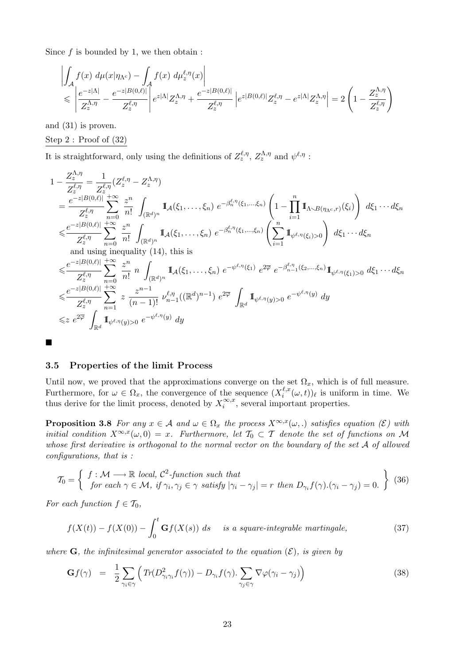Since  $f$  is bounded by 1, we then obtain :

$$
\left| \int_{\mathcal{A}} f(x) d\mu(x|\eta_{\Lambda^c}) - \int_{\mathcal{A}} f(x) d\mu_{z}^{\ell, \eta}(x) \right|
$$
  
\n
$$
\leqslant \left| \frac{e^{-z|\Lambda|}}{Z_{z}^{\Lambda, \eta}} - \frac{e^{-z|B(0,\ell)|}}{Z_{z}^{\ell, \eta}} \right| e^{z|\Lambda|} Z_{z}^{\Lambda, \eta} + \frac{e^{-z|B(0,\ell)|}}{Z_{z}^{\ell, \eta}} \left| e^{z|B(0,\ell)|} Z_{z}^{\ell, \eta} - e^{z|\Lambda|} Z_{z}^{\Lambda, \eta} \right| = 2 \left( 1 - \frac{Z_{z}^{\Lambda, \eta}}{Z_{z}^{\ell, \eta}} \right)
$$

and (31) is proven.

## Step 2 : Proof of (32)

It is straightforward, only using the definitions of  $Z_z^{\ell, \eta}$ ,  $Z_z^{\Lambda, \eta}$  and  $\psi^{\ell, \eta}$ :

$$
1 - \frac{Z_{z}^{\Lambda,\eta}}{Z_{z}^{\ell,\eta}} = \frac{1}{Z_{z}^{\ell,\eta}} (Z_{z}^{\ell,\eta} - Z_{z}^{\Lambda,\eta})
$$
\n
$$
= \frac{e^{-z|B(0,\ell)|} + \infty}{Z_{z}^{\ell,\eta}} \sum_{n=0}^{+\infty} \frac{z^{n}}{n!} \int_{(\mathbb{R}^{d})^{n}} \mathbb{I}_{A}(\xi_{1}, \ldots, \xi_{n}) e^{-\beta_{n}^{\ell,\eta}(\xi_{1}, \ldots, \xi_{n})} \left(1 - \prod_{i=1}^{n} \mathbb{I}_{\Lambda \sim B(\eta_{\Lambda^{c},r})}(\xi_{i})\right) d\xi_{1} \cdots d\xi_{n}
$$
\n
$$
\leq \frac{e^{-z|B(0,\ell)|} + \infty}{Z_{z}^{\ell,\eta}} \sum_{n=0}^{+\infty} \frac{z^{n}}{n!} \int_{(\mathbb{R}^{d})^{n}} \mathbb{I}_{A}(\xi_{1}, \ldots, \xi_{n}) e^{-\beta_{n}^{\ell,\eta}(\xi_{1}, \ldots, \xi_{n})} \left(\sum_{i=1}^{n} \mathbb{I}_{\psi^{\ell,\eta}(\xi_{i})>0}\right) d\xi_{1} \cdots d\xi_{n}
$$
\nand using inequality (14), this is\n
$$
\leq \frac{e^{-z|B(0,\ell)|} + \infty}{Z_{z}^{\ell,\eta}} \sum_{n=0}^{+\infty} \frac{z^{n}}{n!} n \int_{(\mathbb{R}^{d})^{n}} \mathbb{I}_{A}(\xi_{1}, \ldots, \xi_{n}) e^{-\psi^{\ell,\eta}(\xi_{1})} e^{2\overline{\varphi}} e^{-\beta_{n-1}^{\ell,\eta}(\xi_{2}, \ldots, \xi_{n})} \mathbb{I}_{\psi^{\ell,\eta}(\xi_{1})>0} d\xi_{1} \cdots d\xi_{n}
$$
\n
$$
\leq \frac{e^{-z|B(0,\ell)|} + \infty}{Z_{z}^{\ell,\eta}} \sum_{n=1}^{+\infty} z \frac{z^{n-1}}{(n-1)!} \nu_{n-1}^{\ell,\eta}((\mathbb{R}^{d})^{n-1}) e^{2\overline{\varphi}} \int_{\mathbb{R}^{d}} \mathbb{I}_{
$$

## 3.5 Properties of the limit Process

Until now, we proved that the approximations converge on the set  $\Omega_x$ , which is of full measure. Furthermore, for  $\omega \in \Omega_x$ , the convergence of the sequence  $(X_i^{\ell,x})$  $\int_{i}^{\ell,x} (\omega, t) \, \ell$  is uniform in time. We thus derive for the limit process, denoted by  $X_i^{\infty,x}$  $\sum_{i}^{\infty,x}$ , several important properties.

**Proposition 3.8** For any  $x \in A$  and  $\omega \in \Omega_x$  the process  $X^{\infty,x}(\omega,.)$  satisfies equation (E) with initial condition  $X^{\infty,x}(\omega,0) = x$ . Furthermore, let  $\mathcal{T}_0 \subset \mathcal{T}$  denote the set of functions on M whose first derivative is orthogonal to the normal vector on the boundary of the set A of allowed configurations, that is :

$$
\mathcal{T}_0 = \left\{ \begin{array}{l} f : \mathcal{M} \longrightarrow \mathbb{R} \text{ local, } C^2\text{-function such that} \\ \text{for each } \gamma \in \mathcal{M}, \text{ if } \gamma_i, \gamma_j \in \gamma \text{ satisfy } |\gamma_i - \gamma_j| = r \text{ then } D_{\gamma_i}f(\gamma).(\gamma_i - \gamma_j) = 0. \end{array} \right\} \tag{36}
$$

For each function  $f \in \mathcal{T}_0$ ,

$$
f(X(t)) - f(X(0)) - \int_0^t \mathbf{G}f(X(s)) \, ds \quad \text{ is a square-integrable martingale, } \tag{37}
$$

where  $\bf{G}$ , the infinitesimal generator associated to the equation  $(\mathcal{E})$ , is given by

$$
\mathbf{G}f(\gamma) = \frac{1}{2} \sum_{\gamma_i \in \gamma} \left( \text{Tr}(D_{\gamma_i \gamma_i}^2 f(\gamma)) - D_{\gamma_i} f(\gamma) \cdot \sum_{\gamma_j \in \gamma} \nabla \varphi(\gamma_i - \gamma_j) \right) \tag{38}
$$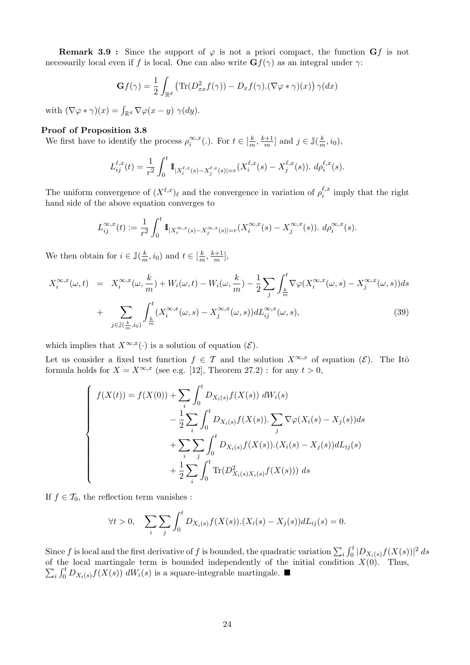**Remark 3.9 :** Since the support of  $\varphi$  is not a priori compact, the function  $\mathbf{G}f$  is not necessarily local even if f is local. One can also write  $\mathbf{G}f(\gamma)$  as an integral under  $\gamma$ :

$$
\mathbf{G}f(\gamma) = \frac{1}{2} \int_{\mathbb{R}^d} \left( \text{Tr}(D_{xx}^2 f(\gamma)) - D_x f(\gamma) . (\nabla \varphi * \gamma)(x) \right) \gamma(dx)
$$

with  $(\nabla \varphi * \gamma)(x) = \int_{\mathbb{R}^d} \nabla \varphi(x - y) \gamma(dy)$ .

## Proof of Proposition 3.8

We first have to identify the process  $\rho_i^{\infty,x}$  $\sum_{i}^{\infty, x}(.)$ . For  $t \in [\frac{k}{n}]$  $\frac{k}{m}$ ,  $\frac{k+1}{m}$  $\frac{j+1}{m}$  and  $j \in \mathbb{J}(\frac{k}{m})$  $\frac{k}{m}, i_0),$ 

$$
L_{ij}^{\ell,x}(t) = \frac{1}{r^2} \int_0^t \mathbb{1}_{|X_i^{\ell,x}(s) - X_j^{\ell,x}(s)| = r} (X_i^{\ell,x}(s) - X_j^{\ell,x}(s)). d\rho_i^{\ell,x}(s).
$$

The uniform convergence of  $(X^{\ell,x})_\ell$  and the convergence in variation of  $\rho_i^{\ell,x}$  $i^{l,x}_{i}$  imply that the right hand side of the above equation converges to

$$
L_{ij}^{\infty,x}(t) := \frac{1}{r^2} \int_0^t \mathbb{1}_{|X_i^{\infty,x}(s) - X_j^{\infty,x}(s)| = r} (X_i^{\infty,x}(s) - X_j^{\infty,x}(s)). d\rho_i^{\infty,x}(s).
$$

We then obtain for  $i \in \mathbb{J}(\frac{k}{n})$  $(\frac{k}{m}, i_0)$  and  $t \in [\frac{k}{m}]$  $\frac{k}{m}$ ,  $\frac{k+1}{m}$  $\frac{n+1}{m}\big],$ 

$$
X_i^{\infty,x}(\omega,t) = X_i^{\infty,x}(\omega,\frac{k}{m}) + W_i(\omega,t) - W_i(\omega,\frac{k}{m}) - \frac{1}{2} \sum_j \int_{\frac{k}{m}}^t \nabla \varphi(X_i^{\infty,x}(\omega,s) - X_j^{\infty,x}(\omega,s))ds
$$
  
+ 
$$
\sum_{j \in \mathbb{J}(\frac{k}{m},i_0)} \int_{\frac{k}{m}}^t (X_i^{\infty,x}(\omega,s) - X_j^{\infty,x}(\omega,s))dL_{ij}^{\infty,x}(\omega,s), \tag{39}
$$

which implies that  $X^{\infty,x}(\cdot)$  is a solution of equation  $(\mathcal{E})$ .

Let us consider a fixed test function  $f \in \mathcal{T}$  and the solution  $X^{\infty,x}$  of equation  $(\mathcal{E})$ . The Itô formula holds for  $X = X^{\infty,x}$  (see e.g. [12], Theorem 27.2) : for any  $t > 0$ ,

$$
\begin{cases}\nf(X(t)) = f(X(0)) + \sum_{i} \int_{0}^{t} D_{X_{i}(s)} f(X(s)) \, dW_{i}(s) \\
- \frac{1}{2} \sum_{i} \int_{0}^{t} D_{X_{i}(s)} f(X(s)) \cdot \sum_{j} \nabla \varphi(X_{i}(s) - X_{j}(s)) ds \\
+ \sum_{i} \sum_{j} \int_{0}^{t} D_{X_{i}(s)} f(X(s)) \cdot (X_{i}(s) - X_{j}(s)) dL_{ij}(s) \\
+ \frac{1}{2} \sum_{i} \int_{0}^{t} \text{Tr}(D_{X_{i}(s)}^{2} X_{i}(s)} f(X(s))) \, ds\n\end{cases}
$$

If  $f \in \mathcal{T}_0$ , the reflection term vanishes :

$$
\forall t > 0, \quad \sum_{i} \sum_{j} \int_{0}^{t} D_{X_{i}(s)} f(X(s)).(X_{i}(s) - X_{j}(s)) dL_{ij}(s) = 0.
$$

Since f is local and the first derivative of f is bounded, the quadratic variation  $\sum_i \int_0^t |D_{X_i(s)}f(X(s))|^2 ds$ of the local martingale term is bounded independently of the initial condition  $X(0)$ . Thus,  $\sum_i \int_0^t D_{X_i(s)} f(X(s)) \, dW_i(s)$  is a square-integrable martingale.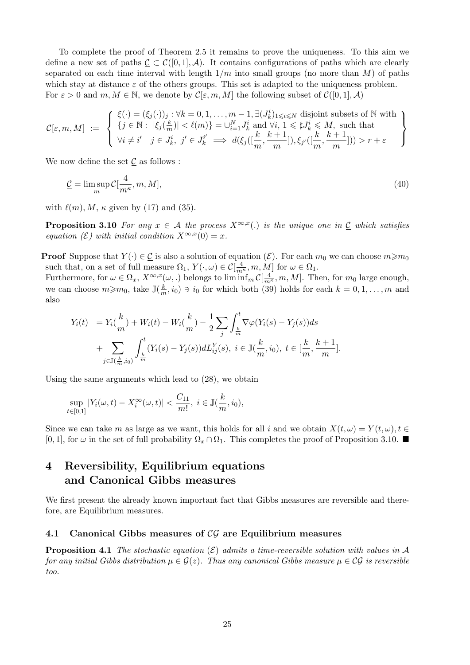To complete the proof of Theorem 2.5 it remains to prove the uniqueness. To this aim we define a new set of paths  $\underline{\mathcal{C}} \subset \mathcal{C}([0,1], \mathcal{A})$ . It contains configurations of paths which are clearly separated on each time interval with length  $1/m$  into small groups (no more than M) of paths which stay at distance  $\varepsilon$  of the others groups. This set is adapted to the uniqueness problem. For  $\varepsilon > 0$  and  $m, M \in \mathbb{N}$ , we denote by  $\mathcal{C}[\varepsilon, m, M]$  the following subset of  $\mathcal{C}([0, 1], \mathcal{A})$ 

$$
\mathcal{C}[\varepsilon,m,M] \ := \ \left\{ \begin{array}{l} \xi(\cdot) = (\xi_j(\cdot))_j : \forall k=0,1,\ldots,m-1, \exists (J_k^i)_{1\leqslant i\leqslant N} \text{ disjoint subsets of }\mathbb{N} \text{ with } \\ \{j\in\mathbb{N}:\ |\xi_j(\frac{k}{m})|<\ell(m)\} = \cup_{i=1}^N J_k^i \text{ and } \forall i,\, 1\leqslant \sharp J_k^i \leqslant M, \text{ such that } \\ \forall i\neq i' \quad j\in J_k^i, \ j'\in J_k^{i'} \implies d(\xi_j([\frac{k}{m},\frac{k+1}{m}]),\xi_{j'}([\frac{k}{m},\frac{k+1}{m}]))>r+\varepsilon \end{array} \right\}
$$

We now define the set  $\mathcal C$  as follows :

$$
\underline{\mathcal{C}} = \limsup_{m} \mathcal{C}[\frac{4}{m^{\kappa}}, m, M],\tag{40}
$$

with  $\ell(m)$ , M,  $\kappa$  given by (17) and (35).

**Proposition 3.10** For any  $x \in A$  the process  $X^{\infty,x}$ . is the unique one in  $\underline{C}$  which satisfies equation  $(\mathcal{E})$  with initial condition  $X^{\infty,x}(0) = x$ .

**Proof** Suppose that  $Y(\cdot) \in \mathcal{L}$  is also a solution of equation  $(\mathcal{E})$ . For each  $m_0$  we can choose  $m \geq m_0$ such that, on a set of full measure  $\Omega_1$ ,  $Y(\cdot, \omega) \in \mathcal{C}[\frac{4}{m^{\kappa}}, m, M]$  for  $\omega \in \Omega_1$ .

Furthermore, for  $\omega \in \Omega_x$ ,  $X^{\infty,x}(\omega,.)$  belongs to  $\liminf_m \mathcal{C}[\frac{4}{m^{\kappa}},m,M]$ . Then, for  $m_0$  large enough, we can choose  $m \geq m_0$ , take  $\mathbb{J}(\frac{k}{m})$  $\frac{k}{m}$ ,  $i_0$   $\ni$   $i_0$  for which both (39) holds for each  $k = 0, 1, ..., m$  and also

$$
Y_i(t) = Y_i(\frac{k}{m}) + W_i(t) - W_i(\frac{k}{m}) - \frac{1}{2} \sum_j \int_{\frac{k}{m}}^t \nabla \varphi(Y_i(s) - Y_j(s)) ds + \sum_{j \in \mathbb{J}(\frac{k}{m}, i_0)} \int_{\frac{k}{m}}^t (Y_i(s) - Y_j(s)) dL_{ij}^Y(s), \ i \in \mathbb{J}(\frac{k}{m}, i_0), \ t \in [\frac{k}{m}, \frac{k+1}{m}].
$$

Using the same arguments which lead to (28), we obtain

$$
\sup_{t \in [0,1]} |Y_i(\omega, t) - X_i^{\infty}(\omega, t)| < \frac{C_{11}}{m!}, \ i \in \mathbb{J}(\frac{k}{m}, i_0),
$$

Since we can take m as large as we want, this holds for all i and we obtain  $X(t, \omega) = Y(t, \omega), t \in$ [0, 1], for  $\omega$  in the set of full probability  $\Omega_x \cap \Omega_1$ . This completes the proof of Proposition 3.10.

## 4 Reversibility, Equilibrium equations and Canonical Gibbs measures

We first present the already known important fact that Gibbs measures are reversible and therefore, are Equilibrium measures.

## 4.1 Canonical Gibbs measures of  $\mathcal{CG}$  are Equilibrium measures

**Proposition 4.1** The stochastic equation  $(\mathcal{E})$  admits a time-reversible solution with values in A for any initial Gibbs distribution  $\mu \in \mathcal{G}(z)$ . Thus any canonical Gibbs measure  $\mu \in \mathcal{CG}$  is reversible too.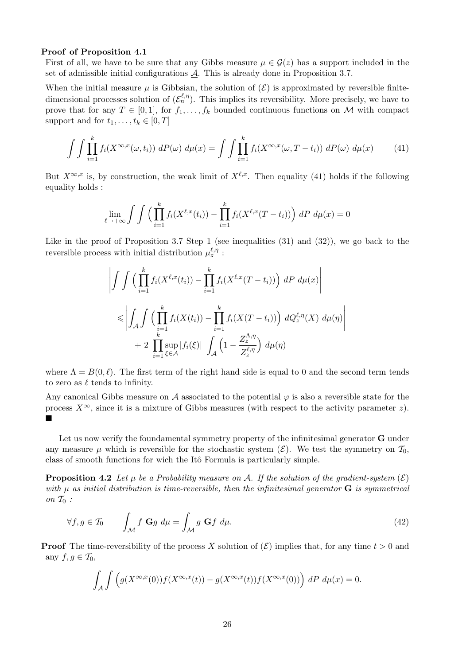#### Proof of Proposition 4.1

First of all, we have to be sure that any Gibbs measure  $\mu \in \mathcal{G}(z)$  has a support included in the set of admissible initial configurations  $\mathcal{A}$ . This is already done in Proposition 3.7.

When the initial measure  $\mu$  is Gibbsian, the solution of  $(\mathcal{E})$  is approximated by reversible finitedimensional processes solution of  $(\mathcal{E}_n^{\ell,\eta})$ . This implies its reversibility. More precisely, we have to prove that for any  $T \in [0, 1]$ , for  $f_1, \ldots, f_k$  bounded continuous functions on M with compact support and for  $t_1, \ldots, t_k \in [0, T]$ 

$$
\int \int \prod_{i=1}^{k} f_i(X^{\infty,x}(\omega,t_i)) \, dP(\omega) \, d\mu(x) = \int \int \prod_{i=1}^{k} f_i(X^{\infty,x}(\omega,T-t_i)) \, dP(\omega) \, d\mu(x) \tag{41}
$$

But  $X^{\infty,x}$  is, by construction, the weak limit of  $X^{\ell,x}$ . Then equality (41) holds if the following equality holds :

$$
\lim_{\ell \to +\infty} \int \int \left( \prod_{i=1}^k f_i(X^{\ell,x}(t_i)) - \prod_{i=1}^k f_i(X^{\ell,x}(T-t_i)) \right) dP d\mu(x) = 0
$$

Like in the proof of Proposition 3.7 Step 1 (see inequalities (31) and (32)), we go back to the reversible process with initial distribution  $\mu_z^{\ell,\eta}$ :

$$
\left| \int \int \left( \prod_{i=1}^k f_i(X^{\ell,x}(t_i)) - \prod_{i=1}^k f_i(X^{\ell,x}(T-t_i)) \right) dP d\mu(x) \right|
$$
  

$$
\leq \left| \int_A \int \left( \prod_{i=1}^k f_i(X(t_i)) - \prod_{i=1}^k f_i(X(T-t_i)) \right) dQ_z^{\ell,\eta}(X) d\mu(\eta) \right|
$$
  
+ 
$$
2 \prod_{i=1}^k \sup_{\xi \in \mathcal{A}} |f_i(\xi)| \int_A \left(1 - \frac{Z_z^{\Lambda,\eta}}{Z_z^{\ell,\eta}} \right) d\mu(\eta)
$$

where  $\Lambda = B(0, \ell)$ . The first term of the right hand side is equal to 0 and the second term tends to zero as  $\ell$  tends to infinity.

Any canonical Gibbs measure on A associated to the potential  $\varphi$  is also a reversible state for the process  $X^{\infty}$ , since it is a mixture of Gibbs measures (with respect to the activity parameter z).  $\blacksquare$ 

Let us now verify the foundamental symmetry property of the infinitesimal generator **G** under any measure  $\mu$  which is reversible for the stochastic system  $(\mathcal{E})$ . We test the symmetry on  $\mathcal{T}_0$ , class of smooth functions for wich the Itô Formula is particularly simple.

**Proposition 4.2** Let  $\mu$  be a Probability measure on A. If the solution of the gradient-system  $(\mathcal{E})$ with  $\mu$  as initial distribution is time-reversible, then the infinitesimal generator  $\bf{G}$  is symmetrical on  $\mathcal{T}_0$ :

$$
\forall f, g \in \mathcal{T}_0 \qquad \int_{\mathcal{M}} f \mathbf{G} g \ d\mu = \int_{\mathcal{M}} g \mathbf{G} f \ d\mu. \tag{42}
$$

**Proof** The time-reversibility of the process X solution of  $(\mathcal{E})$  implies that, for any time  $t > 0$  and any  $f, g \in \mathcal{T}_0$ ,

$$
\int_{\mathcal{A}} \int \left( g(X^{\infty,x}(0)) f(X^{\infty,x}(t)) - g(X^{\infty,x}(t)) f(X^{\infty,x}(0)) \right) dP d\mu(x) = 0.
$$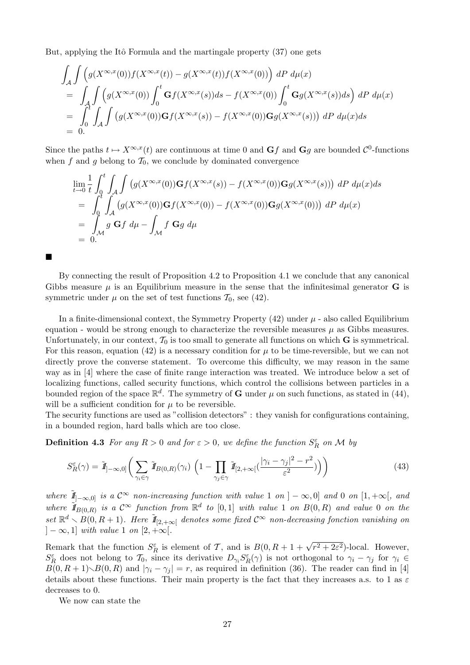But, applying the Itô Formula and the martingale property (37) one gets

$$
\int_{\mathcal{A}} \int \left( g(X^{\infty,x}(0)) f(X^{\infty,x}(t)) - g(X^{\infty,x}(t)) f(X^{\infty,x}(0)) \right) dP d\mu(x)
$$
\n
$$
= \int_{\mathcal{A}} \int \left( g(X^{\infty,x}(0)) \int_0^t \mathbf{G} f(X^{\infty,x}(s)) ds - f(X^{\infty,x}(0)) \int_0^t \mathbf{G} g(X^{\infty,x}(s)) ds \right) dP d\mu(x)
$$
\n
$$
= \int_0^t \int_{\mathcal{A}} \int \left( g(X^{\infty,x}(0)) \mathbf{G} f(X^{\infty,x}(s)) - f(X^{\infty,x}(0)) \mathbf{G} g(X^{\infty,x}(s)) \right) dP d\mu(x) ds
$$
\n
$$
= 0.
$$

Since the paths  $t \mapsto X^{\infty,x}(t)$  are continuous at time 0 and  $\mathbf{G}f$  and  $\mathbf{G}g$  are bounded  $\mathcal{C}^0$ -functions when f and q belong to  $\mathcal{T}_0$ , we conclude by dominated convergence

$$
\lim_{t \to 0} \frac{1}{t} \int_0^t \int_A \int \left( g(X^{\infty,x}(0)) \mathbf{G} f(X^{\infty,x}(s)) - f(X^{\infty,x}(0)) \mathbf{G} g(X^{\infty,x}(s)) \right) dP d\mu(x) ds
$$
\n
$$
= \int_0^t \int_A \left( g(X^{\infty,x}(0)) \mathbf{G} f(X^{\infty,x}(0)) - f(X^{\infty,x}(0)) \mathbf{G} g(X^{\infty,x}(0)) \right) dP d\mu(x)
$$
\n
$$
= \int_M g \mathbf{G} f d\mu - \int_M f \mathbf{G} g d\mu
$$
\n
$$
= 0.
$$

By connecting the result of Proposition 4.2 to Proposition 4.1 we conclude that any canonical Gibbs measure  $\mu$  is an Equilibrium measure in the sense that the infinitesimal generator **G** is symmetric under  $\mu$  on the set of test functions  $\mathcal{T}_0$ , see (42).

In a finite-dimensional context, the Symmetry Property  $(42)$  under  $\mu$  - also called Equilibrium equation - would be strong enough to characterize the reversible measures  $\mu$  as Gibbs measures. Unfortunately, in our context,  $\mathcal{T}_0$  is too small to generate all functions on which **G** is symmetrical. For this reason, equation (42) is a necessary condition for  $\mu$  to be time-reversible, but we can not directly prove the converse statement. To overcome this difficulty, we may reason in the same way as in [4] where the case of finite range interaction was treated. We introduce below a set of localizing functions, called security functions, which control the collisions between particles in a bounded region of the space  $\mathbb{R}^d$ . The symmetry of **G** under  $\mu$  on such functions, as stated in (44), will be a sufficient condition for  $\mu$  to be reversible.

The security functions are used as "collision detectors" : they vanish for configurations containing, in a bounded region, hard balls which are too close.

**Definition 4.3** For any  $R > 0$  and for  $\varepsilon > 0$ , we define the function  $S_R^{\varepsilon}$  on M by

$$
S_R^{\varepsilon}(\gamma) = \tilde{\mathbf{I}}_{]-\infty,0]} \bigg( \sum_{\gamma_i \in \gamma} \tilde{\mathbf{I}}_{B(0,R)}(\gamma_i) \left( 1 - \prod_{\gamma_j \in \gamma} \tilde{\mathbf{I}}_{[2,+\infty[}(\frac{|\gamma_i - \gamma_j|^2 - r^2}{\varepsilon^2})) \right) \bigg)
$$
(43)

where  $\tilde{I}_{[-\infty,0]}$  is a  $\mathcal{C}^{\infty}$  non-increasing function with value 1 on  $]-\infty,0]$  and 0 on  $[1,+\infty[$ , and where  $\widetilde{I}_{B(0,R)}$  is a  $\mathcal{C}^{\infty}$  function from  $\mathbb{R}^d$  to  $[0,1]$  with value 1 on  $B(0,R)$  and value 0 on the set  $\mathbb{R}^d \setminus B(0, R+1)$ . Here  $\tilde{I\!I}_{[2,+\infty[}$  denotes some fixed  $\mathcal{C}^{\infty}$  non-decreasing fonction vanishing on  $]-\infty,1]$  with value 1 on  $[2,+\infty[$ .

Remark that the function  $S_R^{\varepsilon}$  is element of T, and is  $B(0, R + 1 + \sqrt{r^2 + 2\varepsilon^2})$ -local. However,  $S_R^{\varepsilon}$  does not belong to  $\mathcal{T}_0$ , since its derivative  $D_{\gamma_i} S_R^{\varepsilon}(\gamma)$  is not orthogonal to  $\gamma_i - \gamma_j$  for  $\gamma_i \in$  $B(0, R + 1)\setminus B(0, R)$  and  $|\gamma_i - \gamma_j| = r$ , as required in definition (36). The reader can find in [4] details about these functions. Their main property is the fact that they increases a.s. to 1 as  $\varepsilon$ decreases to 0.

We now can state the

 $\overline{1}$ 

 $\blacksquare$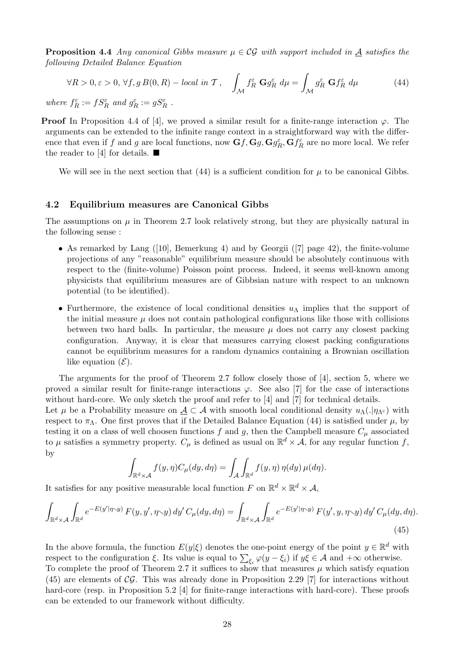**Proposition 4.4** Any canonical Gibbs measure  $\mu \in \mathcal{CG}$  with support included in  $\underline{A}$  satisfies the following Detailed Balance Equation

$$
\forall R > 0, \varepsilon > 0, \forall f, g \, B(0, R) - local \, in \, \mathcal{T}, \quad \int_{\mathcal{M}} f_R^{\varepsilon} \, \mathbf{G} g_R^{\varepsilon} \, d\mu = \int_{\mathcal{M}} g_R^{\varepsilon} \, \mathbf{G} f_R^{\varepsilon} \, d\mu \tag{44}
$$

where  $f_R^{\varepsilon} := fS_R^{\varepsilon}$  and  $g_R^{\varepsilon} := gS_R^{\varepsilon}$ .

**Proof** In Proposition 4.4 of [4], we proved a similar result for a finite-range interaction  $\varphi$ . The arguments can be extended to the infinite range context in a straightforward way with the difference that even if f and g are local functions, now  $Gf$ ,  $Gg$ ,  $Gg_R^{\varepsilon}$ ,  $Gf_R^{\varepsilon}$  are no more local. We refer the reader to [4] for details.  $\blacksquare$ 

We will see in the next section that  $(44)$  is a sufficient condition for  $\mu$  to be canonical Gibbs.

### 4.2 Equilibrium measures are Canonical Gibbs

The assumptions on  $\mu$  in Theorem 2.7 look relatively strong, but they are physically natural in the following sense :

- As remarked by Lang ([10], Bemerkung 4) and by Georgii ([7] page 42), the finite-volume projections of any "reasonable" equilibrium measure should be absolutely continuous with respect to the (finite-volume) Poisson point process. Indeed, it seems well-known among physicists that equilibrium measures are of Gibbsian nature with respect to an unknown potential (to be identified).
- Furthermore, the existence of local conditional densities  $u<sub>\Lambda</sub>$  implies that the support of the initial measure  $\mu$  does not contain pathological configurations like those with collisions between two hard balls. In particular, the measure  $\mu$  does not carry any closest packing configuration. Anyway, it is clear that measures carrying closest packing configurations cannot be equilibrium measures for a random dynamics containing a Brownian oscillation like equation  $(\mathcal{E})$ .

The arguments for the proof of Theorem 2.7 follow closely those of [4], section 5, where we proved a similar result for finite-range interactions  $\varphi$ . See also [7] for the case of interactions without hard-core. We only sketch the proof and refer to [4] and [7] for technical details.

Let  $\mu$  be a Probability measure on  $\mathcal{A} \subset \mathcal{A}$  with smooth local conditional density  $u_\Lambda(\cdot|\eta_{\Lambda^c})$  with respect to  $\pi_{\Lambda}$ . One first proves that if the Detailed Balance Equation (44) is satisfied under  $\mu$ , by testing it on a class of well choosen functions  $f$  and  $g$ , then the Campbell measure  $C_{\mu}$  associated to  $\mu$  satisfies a symmetry property.  $C_{\mu}$  is defined as usual on  $\mathbb{R}^d \times A$ , for any regular function f, by

$$
\int_{\mathbb{R}^d \times \mathcal{A}} f(y, \eta) C_{\mu}(dy, d\eta) = \int_{\mathcal{A}} \int_{\mathbb{R}^d} f(y, \eta) \eta(dy) \mu(d\eta).
$$

It satisfies for any positive measurable local function F on  $\mathbb{R}^d \times \mathbb{R}^d \times \mathcal{A}$ ,

$$
\int_{\mathbb{R}^d \times \mathcal{A}} \int_{\mathbb{R}^d} e^{-E(y'|\eta \sim y)} F(y, y', \eta \sim y) dy' C_\mu(dy, d\eta) = \int_{\mathbb{R}^d \times \mathcal{A}} \int_{\mathbb{R}^d} e^{-E(y'|\eta \sim y)} F(y', y, \eta \sim y) dy' C_\mu(dy, d\eta).
$$
\n(45)

In the above formula, the function  $E(y|\xi)$  denotes the one-point energy of the point  $y \in \mathbb{R}^d$  with respect to the configuration  $\xi$ . Its value is equal to  $\sum_{\xi_i} \varphi(y - \xi_i)$  if  $y\xi \in \mathcal{A}$  and  $+\infty$  otherwise. To complete the proof of Theorem 2.7 it suffices to show that measures  $\mu$  which satisfy equation  $(45)$  are elements of CG. This was already done in Proposition 2.29 [7] for interactions without hard-core (resp. in Proposition 5.2 [4] for finite-range interactions with hard-core). These proofs can be extended to our framework without difficulty.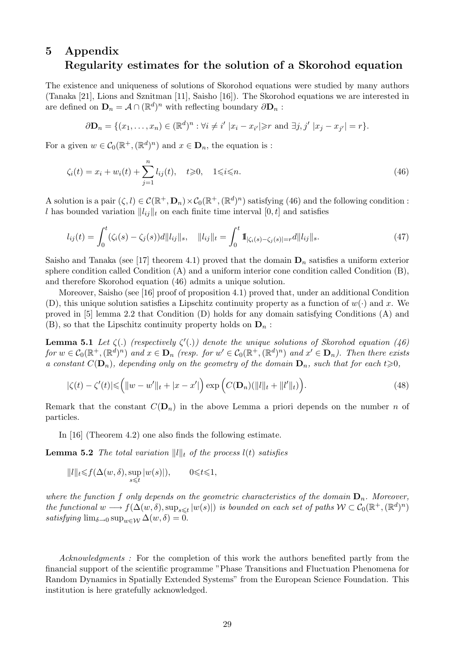## 5 Appendix Regularity estimates for the solution of a Skorohod equation

The existence and uniqueness of solutions of Skorohod equations were studied by many authors (Tanaka [21], Lions and Sznitman [11], Saisho [16]). The Skorohod equations we are interested in are defined on  $\mathbf{D}_n = \mathcal{A} \cap (\mathbb{R}^d)^n$  with reflecting boundary  $\partial \mathbf{D}_n$ :

$$
\partial \mathbf{D}_n = \{ (x_1, ..., x_n) \in (\mathbb{R}^d)^n : \forall i \neq i' \ |x_i - x_{i'}| \geq r \text{ and } \exists j, j' \ |x_j - x_{j'}| = r \}.
$$

For a given  $w \in C_0(\mathbb{R}^+,\mathbb{R}^d)^n$  and  $x \in \mathbf{D}_n$ , the equation is :

$$
\zeta_i(t) = x_i + w_i(t) + \sum_{j=1}^n l_{ij}(t), \quad t \ge 0, \quad 1 \le i \le n.
$$
\n(46)

A solution is a pair  $(\zeta, l) \in C(\mathbb{R}^+, \mathbf{D}_n) \times C_0(\mathbb{R}^+, (\mathbb{R}^d)^n)$  satisfying (46) and the following condition : l has bounded variation  $||l_{ij}||_t$  on each finite time interval  $[0, t]$  and satisfies

$$
l_{ij}(t) = \int_0^t (\zeta_i(s) - \zeta_j(s))d||l_{ij}||_s, \quad ||l_{ij}||_t = \int_0^t \mathbb{1}_{|\zeta_i(s) - \zeta_j(s)| = r}d||l_{ij}||_s.
$$
\n(47)

Saisho and Tanaka (see [17] theorem 4.1) proved that the domain  $D_n$  satisfies a uniform exterior sphere condition called Condition (A) and a uniform interior cone condition called Condition (B), and therefore Skorohod equation (46) admits a unique solution.

Moreover, Saisho (see [16] proof of proposition 4.1) proved that, under an additional Condition (D), this unique solution satisfies a Lipschitz continuity property as a function of  $w(\cdot)$  and x. We proved in [5] lemma 2.2 that Condition (D) holds for any domain satisfying Conditions (A) and  $(B)$ , so that the Lipschitz continuity property holds on  $D_n$ :

**Lemma 5.1** Let  $\zeta(.)$  (respectively  $\zeta'(.)$ ) denote the unique solutions of Skorohod equation (46)  $for w \in C_0(\mathbb{R}^+, (\mathbb{R}^d)^n)$  and  $x \in \mathbf{D}_n$  (resp. for  $w' \in C_0(\mathbb{R}^+, (\mathbb{R}^d)^n)$  and  $x' \in \mathbf{D}_n$ ). Then there exists a constant  $C(\mathbf{D}_n)$ , depending only on the geometry of the domain  $\mathbf{D}_n$ , such that for each  $t\geqslant 0$ ,

$$
|\zeta(t) - \zeta'(t)| \leq (||w - w'||_t + |x - x'|) \exp (C(\mathbf{D}_n)(||l||_t + ||l'||_t)).
$$
\n(48)

Remark that the constant  $C(\mathbf{D}_n)$  in the above Lemma a priori depends on the number n of particles.

In [16] (Theorem 4.2) one also finds the following estimate.

**Lemma 5.2** The total variation  $||l||_t$  of the process  $l(t)$  satisfies

$$
||l||_t{\leqslant} f(\Delta(w,\delta),\sup_{s\leqslant t} |w(s)|), \qquad 0{\leqslant} t{\leqslant} 1,
$$

where the function f only depends on the geometric characteristics of the domain  $\mathbf{D}_n$ . Moreover, the functional  $w \longrightarrow f(\Delta(w,\delta), \sup_{s\leq t} |w(s)|)$  is bounded on each set of paths  $W \subset C_0(\mathbb{R}^+, (\mathbb{R}^d)^n)$ satisfying  $\lim_{\delta \to 0} \sup_{w \in \mathcal{W}} \Delta(w, \delta) = 0.$ 

Acknowledgments: For the completion of this work the authors benefited partly from the financial support of the scientific programme "Phase Transitions and Fluctuation Phenomena for Random Dynamics in Spatially Extended Systems" from the European Science Foundation. This institution is here gratefully acknowledged.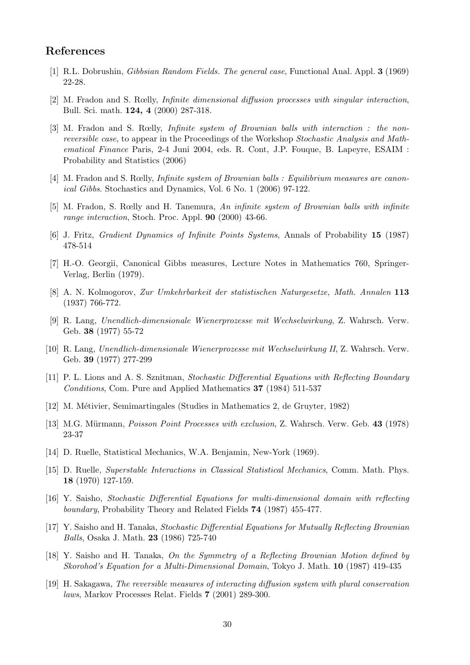## References

- [1] R.L. Dobrushin, Gibbsian Random Fields. The general case, Functional Anal. Appl. 3 (1969) 22-28.
- [2] M. Fradon and S. Rœlly, Infinite dimensional diffusion processes with singular interaction, Bull. Sci. math. 124, 4 (2000) 287-318.
- [3] M. Fradon and S. Rœlly, Infinite system of Brownian balls with interaction : the nonreversible case, to appear in the Proceedings of the Workshop Stochastic Analysis and Mathematical Finance Paris, 2-4 Juni 2004, eds. R. Cont, J.P. Fouque, B. Lapeyre, ESAIM : Probability and Statistics (2006)
- [4] M. Fradon and S. Rœlly, Infinite system of Brownian balls : Equilibrium measures are canonical Gibbs. Stochastics and Dynamics, Vol. 6 No. 1 (2006) 97-122.
- [5] M. Fradon, S. Rœlly and H. Tanemura, An infinite system of Brownian balls with infinite range interaction, Stoch. Proc. Appl. 90 (2000) 43-66.
- [6] J. Fritz, Gradient Dynamics of Infinite Points Systems, Annals of Probability 15 (1987) 478-514
- [7] H.-O. Georgii, Canonical Gibbs measures, Lecture Notes in Mathematics 760, Springer-Verlag, Berlin (1979).
- [8] A. N. Kolmogorov, Zur Umkehrbarkeit der statistischen Naturgesetze, Math. Annalen 113 (1937) 766-772.
- [9] R. Lang, Unendlich-dimensionale Wienerprozesse mit Wechselwirkung, Z. Wahrsch. Verw. Geb. 38 (1977) 55-72
- [10] R. Lang, Unendlich-dimensionale Wienerprozesse mit Wechselwirkung II, Z. Wahrsch. Verw. Geb. 39 (1977) 277-299
- [11] P. L. Lions and A. S. Sznitman, Stochastic Differential Equations with Reflecting Boundary Conditions, Com. Pure and Applied Mathematics 37 (1984) 511-537
- [12] M. M´etivier, Semimartingales (Studies in Mathematics 2, de Gruyter, 1982)
- [13] M.G. Mürmann, *Poisson Point Processes with exclusion*, Z. Wahrsch. Verw. Geb. 43 (1978) 23-37
- [14] D. Ruelle, Statistical Mechanics, W.A. Benjamin, New-York (1969).
- [15] D. Ruelle, Superstable Interactions in Classical Statistical Mechanics, Comm. Math. Phys. 18 (1970) 127-159.
- [16] Y. Saisho, Stochastic Differential Equations for multi-dimensional domain with reflecting boundary, Probability Theory and Related Fields 74 (1987) 455-477.
- [17] Y. Saisho and H. Tanaka, Stochastic Differential Equations for Mutually Reflecting Brownian Balls, Osaka J. Math. 23 (1986) 725-740
- [18] Y. Saisho and H. Tanaka, On the Symmetry of a Reflecting Brownian Motion defined by Skorohod's Equation for a Multi-Dimensional Domain, Tokyo J. Math. 10 (1987) 419-435
- [19] H. Sakagawa, The reversible measures of interacting diffusion system with plural conservation laws, Markov Processes Relat. Fields 7 (2001) 289-300.